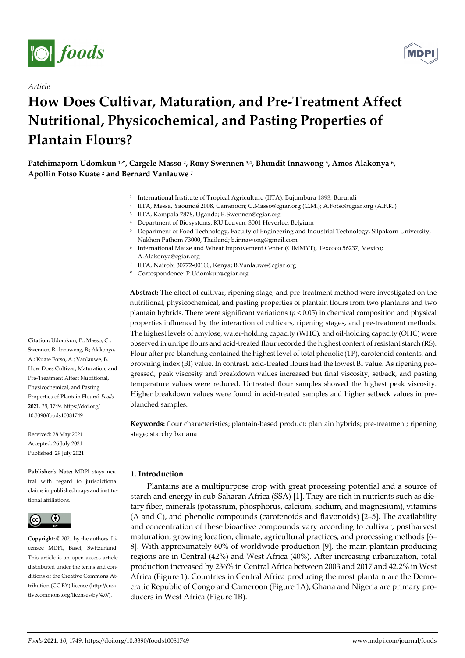

*Article* 



# **How Does Cultivar, Maturation, and Pre-Treatment Affect Nutritional, Physicochemical, and Pasting Properties of Plantain Flours?**

- <sup>1</sup> International Institute of Tropical Agriculture (IITA), Bujumbura 1893, Burundi
- 2 IITA, Messa, Yaoundé 2008, Cameroon; C.Masso@cgiar.org (C.M.); A.Fotso@cgiar.org (A.F.K.)
- 3 IITA, Kampala 7878, Uganda; R.Swennen@cgiar.org
- 4 Department of Biosystems, KU Leuven, 3001 Heverlee, Belgium
- 5 Department of Food Technology, Faculty of Engineering and Industrial Technology, Silpakorn University, Nakhon Pathom 73000, Thailand; b.innawong@gmail.com
- 6 International Maize and Wheat Improvement Center (CIMMYT), Texcoco 56237, Mexico; A.Alakonya@cgiar.org
- 7 IITA, Nairobi 30772-00100, Kenya; B.Vanlauwe@cgiar.org
- **\*** Correspondence: P.Udomkun@cgiar.org

**Abstract:** The effect of cultivar, ripening stage, and pre-treatment method were investigated on the nutritional, physicochemical, and pasting properties of plantain flours from two plantains and two plantain hybrids. There were significant variations (*p* < 0.05) in chemical composition and physical properties influenced by the interaction of cultivars, ripening stages, and pre-treatment methods. The highest levels of amylose, water-holding capacity (WHC), and oil-holding capacity (OHC) were observed in unripe flours and acid-treated flour recorded the highest content of resistant starch (RS). Flour after pre-blanching contained the highest level of total phenolic (TP), carotenoid contents, and browning index (BI) value. In contrast, acid-treated flours had the lowest BI value. As ripening progressed, peak viscosity and breakdown values increased but final viscosity, setback, and pasting temperature values were reduced. Untreated flour samples showed the highest peak viscosity. Higher breakdown values were found in acid-treated samples and higher setback values in preblanched samples.

**Keywords:** flour characteristics; plantain-based product; plantain hybrids; pre-treatment; ripening stage; starchy banana

# **1. Introduction**

Plantains are a multipurpose crop with great processing potential and a source of starch and energy in sub-Saharan Africa (SSA) [1]. They are rich in nutrients such as dietary fiber, minerals (potassium, phosphorus, calcium, sodium, and magnesium), vitamins (A and C), and phenolic compounds (carotenoids and flavonoids) [2–5]. The availability and concentration of these bioactive compounds vary according to cultivar, postharvest maturation, growing location, climate, agricultural practices, and processing methods [6– 8]. With approximately 60% of worldwide production [9], the main plantain producing regions are in Central (42%) and West Africa (40%). After increasing urbanization, total production increased by 236% in Central Africa between 2003 and 2017 and 42.2% in West Africa (Figure 1). Countries in Central Africa producing the most plantain are the Democratic Republic of Congo and Cameroon (Figure 1A); Ghana and Nigeria are primary producers in West Africa (Figure 1B).

**Citation:** Udomkun, P.; Masso, C.; Swennen, R.; Innawong, B.; Alakonya, A.; Kuate Fotso, A.; Vanlauwe, B. How Does Cultivar, Maturation, and Pre-Treatment Affect Nutritional, Physicochemical, and Pasting Properties of Plantain Flours? *Foods*  **2021**, *10*, 1749. https://doi.org/ 10.3390/foods10081749

Received: 28 May 2021 Accepted: 26 July 2021 Published: 29 July 2021

**Publisher's Note:** MDPI stays neutral with regard to jurisdictional claims in published maps and institutional affiliations.



**Copyright:** © 2021 by the authors. Licensee MDPI, Basel, Switzerland. This article is an open access article distributed under the terms and conditions of the Creative Commons Attribution (CC BY) license (http://creativecommons.org/licenses/by/4.0/).

**Patchimaporn Udomkun 1,\*, Cargele Masso 2, Rony Swennen 3,4, Bhundit Innawong 5, Amos Alakonya 6, Apollin Fotso Kuate 2 and Bernard Vanlauwe 7**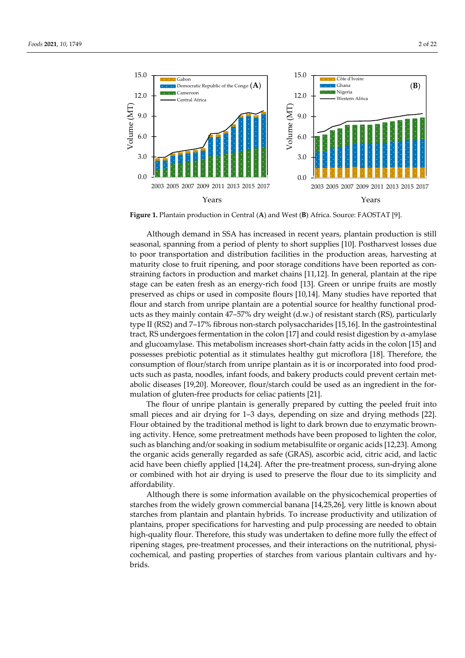

**Figure 1.** Plantain production in Central (**A**) and West (**B**) Africa. Source: FAOSTAT [9].

Although demand in SSA has increased in recent years, plantain production is still seasonal, spanning from a period of plenty to short supplies [10]. Postharvest losses due to poor transportation and distribution facilities in the production areas, harvesting at maturity close to fruit ripening, and poor storage conditions have been reported as constraining factors in production and market chains [11,12]. In general, plantain at the ripe stage can be eaten fresh as an energy-rich food [13]. Green or unripe fruits are mostly preserved as chips or used in composite flours [10,14]. Many studies have reported that flour and starch from unripe plantain are a potential source for healthy functional products as they mainly contain 47–57% dry weight (d.w.) of resistant starch (RS), particularly type II (RS2) and 7–17% fibrous non-starch polysaccharides [15,16]. In the gastrointestinal tract, RS undergoes fermentation in the colon [17] and could resist digestion by  $\alpha$ -amylase and glucoamylase. This metabolism increases short-chain fatty acids in the colon [15] and possesses prebiotic potential as it stimulates healthy gut microflora [18]. Therefore, the consumption of flour/starch from unripe plantain as it is or incorporated into food products such as pasta, noodles, infant foods, and bakery products could prevent certain metabolic diseases [19,20]. Moreover, flour/starch could be used as an ingredient in the formulation of gluten-free products for celiac patients [21].

The flour of unripe plantain is generally prepared by cutting the peeled fruit into small pieces and air drying for 1–3 days, depending on size and drying methods [22]. Flour obtained by the traditional method is light to dark brown due to enzymatic browning activity. Hence, some pretreatment methods have been proposed to lighten the color, such as blanching and/or soaking in sodium metabisulfite or organic acids [12,23]. Among the organic acids generally regarded as safe (GRAS), ascorbic acid, citric acid, and lactic acid have been chiefly applied [14,24]. After the pre-treatment process, sun-drying alone or combined with hot air drying is used to preserve the flour due to its simplicity and affordability.

Although there is some information available on the physicochemical properties of starches from the widely grown commercial banana [14,25,26], very little is known about starches from plantain and plantain hybrids. To increase productivity and utilization of plantains, proper specifications for harvesting and pulp processing are needed to obtain high-quality flour. Therefore, this study was undertaken to define more fully the effect of ripening stages, pre-treatment processes, and their interactions on the nutritional, physicochemical, and pasting properties of starches from various plantain cultivars and hybrids.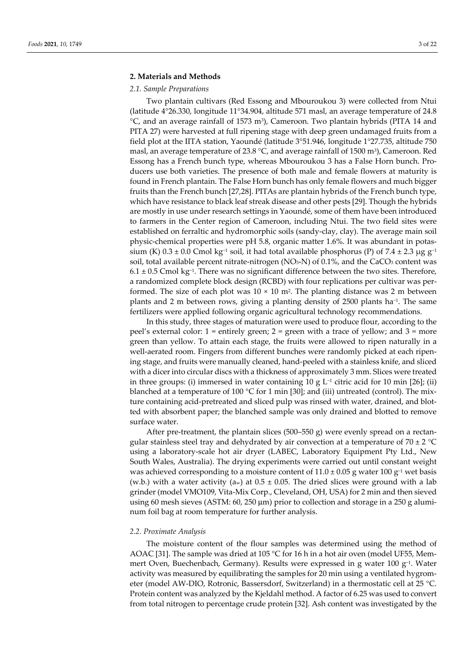#### **2. Materials and Methods**

#### *2.1. Sample Preparations*

Two plantain cultivars (Red Essong and Mbouroukou 3) were collected from Ntui (latitude 4°26.330, longitude 11°34.904, altitude 571 masl, an average temperature of 24.8  $°C$ , and an average rainfall of 1573 m<sup>3</sup>), Cameroon. Two plantain hybrids (PITA 14 and PITA 27) were harvested at full ripening stage with deep green undamaged fruits from a field plot at the IITA station, Yaoundé (latitude 3°51.946, longitude 1°27.735, altitude 750 masl, an average temperature of 23.8 °C, and average rainfall of 1500 m<sup>3</sup>), Cameroon. Red Essong has a French bunch type, whereas Mbouroukou 3 has a False Horn bunch. Producers use both varieties. The presence of both male and female flowers at maturity is found in French plantain. The False Horn bunch has only female flowers and much bigger fruits than the French bunch [27,28]. PITAs are plantain hybrids of the French bunch type, which have resistance to black leaf streak disease and other pests [29]. Though the hybrids are mostly in use under research settings in Yaoundé, some of them have been introduced to farmers in the Center region of Cameroon, including Ntui. The two field sites were established on ferraltic and hydromorphic soils (sandy-clay, clay). The average main soil physic-chemical properties were pH 5.8, organic matter 1.6%. It was abundant in potassium (K)  $0.3 \pm 0.0$  Cmol kg<sup>-1</sup> soil, it had total available phosphorus (P) of 7.4 ± 2.3 µg g<sup>-1</sup> soil, total available percent nitrate-nitrogen  $(NO<sub>3</sub>-N)$  of 0.1%, and the CaCO<sub>3</sub> content was 6.1 ± 0.5 Cmol kg−1. There was no significant difference between the two sites. Therefore, a randomized complete block design (RCBD) with four replications per cultivar was performed. The size of each plot was  $10 \times 10$  m<sup>2</sup>. The planting distance was 2 m between plants and 2 m between rows, giving a planting density of 2500 plants ha−1. The same fertilizers were applied following organic agricultural technology recommendations.

In this study, three stages of maturation were used to produce flour, according to the peel's external color:  $1 =$  entirely green;  $2 =$  green with a trace of yellow; and  $3 =$  more green than yellow. To attain each stage, the fruits were allowed to ripen naturally in a well-aerated room. Fingers from different bunches were randomly picked at each ripening stage, and fruits were manually cleaned, hand-peeled with a stainless knife, and sliced with a dicer into circular discs with a thickness of approximately 3 mm. Slices were treated in three groups: (i) immersed in water containing 10 g L<sup>-1</sup> citric acid for 10 min [26]; (ii) blanched at a temperature of 100  $\degree$ C for 1 min [30]; and (iii) untreated (control). The mixture containing acid-pretreated and sliced pulp was rinsed with water, drained, and blotted with absorbent paper; the blanched sample was only drained and blotted to remove surface water.

After pre-treatment, the plantain slices (500–550 g) were evenly spread on a rectangular stainless steel tray and dehydrated by air convection at a temperature of  $70 \pm 2$  °C using a laboratory-scale hot air dryer (LABEC, Laboratory Equipment Pty Ltd., New South Wales, Australia). The drying experiments were carried out until constant weight was achieved corresponding to a moisture content of  $11.0 \pm 0.05$  g water 100 g<sup>-1</sup> wet basis (w.b.) with a water activity (aw) at  $0.5 \pm 0.05$ . The dried slices were ground with a lab grinder (model VMO109, Vita-Mix Corp., Cleveland, OH, USA) for 2 min and then sieved using 60 mesh sieves (ASTM: 60, 250 μm) prior to collection and storage in a 250 g aluminum foil bag at room temperature for further analysis.

#### *2.2. Proximate Analysis*

The moisture content of the flour samples was determined using the method of AOAC [31]. The sample was dried at 105 °C for 16 h in a hot air oven (model UF55, Memmert Oven, Buechenbach, Germany). Results were expressed in g water 100 g−1. Water activity was measured by equilibrating the samples for 20 min using a ventilated hygrometer (model AW-DIO, Rotronic, Bassersdorf, Switzerland) in a thermostatic cell at 25 °C. Protein content was analyzed by the Kjeldahl method. A factor of 6.25 was used to convert from total nitrogen to percentage crude protein [32]. Ash content was investigated by the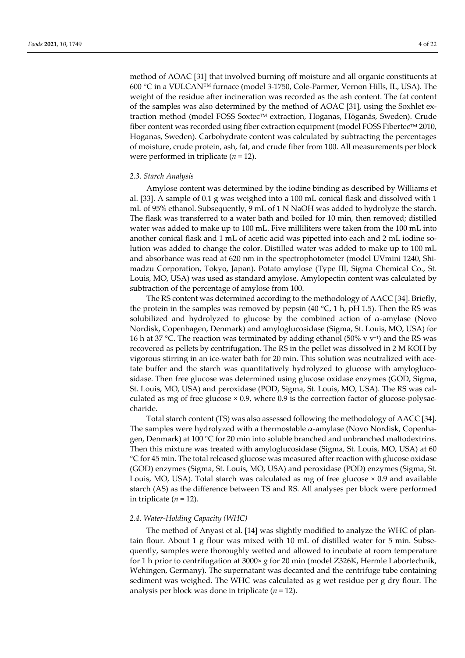method of AOAC [31] that involved burning off moisture and all organic constituents at 600 °C in a VULCAN™ furnace (model 3-1750, Cole-Parmer, Vernon Hills, IL, USA). The weight of the residue after incineration was recorded as the ash content. The fat content of the samples was also determined by the method of AOAC [31], using the Soxhlet extraction method (model FOSS Soxtec™ extraction, Hoganas, Höganäs, Sweden). Crude fiber content was recorded using fiber extraction equipment (model FOSS Fibertec<sup>TM</sup> 2010, Hoganas, Sweden). Carbohydrate content was calculated by subtracting the percentages of moisture, crude protein, ash, fat, and crude fiber from 100. All measurements per block were performed in triplicate (*n* = 12).

#### *2.3. Starch Analysis*

Amylose content was determined by the iodine binding as described by Williams et al. [33]. A sample of 0.1 g was weighed into a 100 mL conical flask and dissolved with 1 mL of 95% ethanol. Subsequently, 9 mL of 1 N NaOH was added to hydrolyze the starch. The flask was transferred to a water bath and boiled for 10 min, then removed; distilled water was added to make up to 100 mL. Five milliliters were taken from the 100 mL into another conical flask and 1 mL of acetic acid was pipetted into each and 2 mL iodine solution was added to change the color. Distilled water was added to make up to 100 mL and absorbance was read at 620 nm in the spectrophotometer (model UVmini 1240, Shimadzu Corporation, Tokyo, Japan). Potato amylose (Type III, Sigma Chemical Co., St. Louis, MO, USA) was used as standard amylose. Amylopectin content was calculated by subtraction of the percentage of amylose from 100.

The RS content was determined according to the methodology of AACC [34]. Briefly, the protein in the samples was removed by pepsin (40  $^{\circ}C$ , 1 h, pH 1.5). Then the RS was solubilized and hydrolyzed to glucose by the combined action of  $\alpha$ -amylase (Novo Nordisk, Copenhagen, Denmark) and amyloglucosidase (Sigma, St. Louis, MO, USA) for 16 h at 37 °C. The reaction was terminated by adding ethanol (50% v v−1) and the RS was recovered as pellets by centrifugation. The RS in the pellet was dissolved in 2 M KOH by vigorous stirring in an ice-water bath for 20 min. This solution was neutralized with acetate buffer and the starch was quantitatively hydrolyzed to glucose with amyloglucosidase. Then free glucose was determined using glucose oxidase enzymes (GOD, Sigma, St. Louis, MO, USA) and peroxidase (POD, Sigma, St. Louis, MO, USA). The RS was calculated as mg of free glucose × 0.9, where 0.9 is the correction factor of glucose-polysaccharide.

Total starch content (TS) was also assessed following the methodology of AACC [34]. The samples were hydrolyzed with a thermostable α-amylase (Novo Nordisk, Copenhagen, Denmark) at 100 °C for 20 min into soluble branched and unbranched maltodextrins. Then this mixture was treated with amyloglucosidase (Sigma, St. Louis, MO, USA) at 60 °C for 45 min. The total released glucose was measured after reaction with glucose oxidase (GOD) enzymes (Sigma, St. Louis, MO, USA) and peroxidase (POD) enzymes (Sigma, St. Louis, MO, USA). Total starch was calculated as mg of free glucose × 0.9 and available starch (AS) as the difference between TS and RS. All analyses per block were performed in triplicate  $(n = 12)$ .

#### *2.4. Water-Holding Capacity (WHC)*

The method of Anyasi et al. [14] was slightly modified to analyze the WHC of plantain flour. About 1 g flour was mixed with 10 mL of distilled water for 5 min. Subsequently, samples were thoroughly wetted and allowed to incubate at room temperature for 1 h prior to centrifugation at 3000× *g* for 20 min (model Z326K, Hermle Labortechnik, Wehingen, Germany). The supernatant was decanted and the centrifuge tube containing sediment was weighed. The WHC was calculated as g wet residue per g dry flour. The analysis per block was done in triplicate (*n* = 12).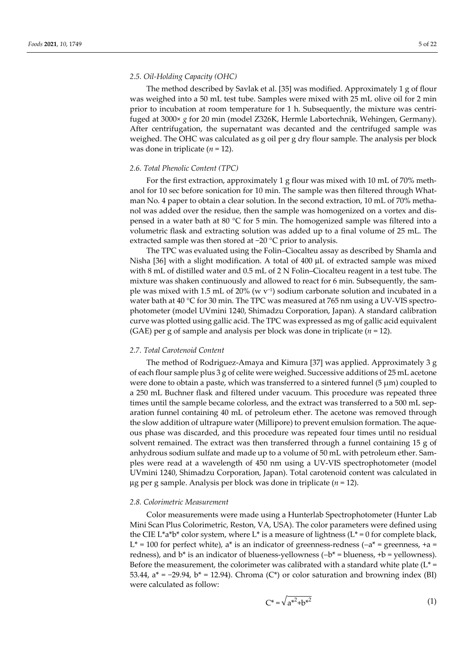# *2.5. Oil-Holding Capacity (OHC)*

The method described by Savlak et al. [35] was modified. Approximately 1 g of flour was weighed into a 50 mL test tube. Samples were mixed with 25 mL olive oil for 2 min prior to incubation at room temperature for 1 h. Subsequently, the mixture was centrifuged at 3000× *g* for 20 min (model Z326K, Hermle Labortechnik, Wehingen, Germany). After centrifugation, the supernatant was decanted and the centrifuged sample was weighed. The OHC was calculated as g oil per g dry flour sample. The analysis per block was done in triplicate (*n* = 12).

#### *2.6. Total Phenolic Content (TPC)*

For the first extraction, approximately 1 g flour was mixed with 10 mL of 70% methanol for 10 sec before sonication for 10 min. The sample was then filtered through Whatman No. 4 paper to obtain a clear solution. In the second extraction, 10 mL of 70% methanol was added over the residue, then the sample was homogenized on a vortex and dispensed in a water bath at 80 °C for 5 min. The homogenized sample was filtered into a volumetric flask and extracting solution was added up to a final volume of 25 mL. The extracted sample was then stored at −20 °C prior to analysis.

The TPC was evaluated using the Folin–Ciocalteu assay as described by Shamla and Nisha [36] with a slight modification. A total of 400 μL of extracted sample was mixed with 8 mL of distilled water and 0.5 mL of 2 N Folin–Ciocalteu reagent in a test tube. The mixture was shaken continuously and allowed to react for 6 min. Subsequently, the sample was mixed with 1.5 mL of 20% (w  $v^{-1}$ ) sodium carbonate solution and incubated in a water bath at 40 °C for 30 min. The TPC was measured at 765 nm using a UV-VIS spectrophotometer (model UVmini 1240, Shimadzu Corporation, Japan). A standard calibration curve was plotted using gallic acid. The TPC was expressed as mg of gallic acid equivalent (GAE) per g of sample and analysis per block was done in triplicate  $(n = 12)$ .

#### *2.7. Total Carotenoid Content*

The method of Rodriguez-Amaya and Kimura [37] was applied. Approximately 3 g of each flour sample plus 3 g of celite were weighed. Successive additions of 25 mL acetone were done to obtain a paste, which was transferred to a sintered funnel  $(5 \mu m)$  coupled to a 250 mL Buchner flask and filtered under vacuum. This procedure was repeated three times until the sample became colorless, and the extract was transferred to a 500 mL separation funnel containing 40 mL of petroleum ether. The acetone was removed through the slow addition of ultrapure water (Millipore) to prevent emulsion formation. The aqueous phase was discarded, and this procedure was repeated four times until no residual solvent remained. The extract was then transferred through a funnel containing  $15 g$  of anhydrous sodium sulfate and made up to a volume of 50 mL with petroleum ether. Samples were read at a wavelength of 450 nm using a UV-VIS spectrophotometer (model UVmini 1240, Shimadzu Corporation, Japan). Total carotenoid content was calculated in μg per g sample. Analysis per block was done in triplicate (*n* = 12).

#### *2.8. Colorimetric Measurement*

Color measurements were made using a Hunterlab Spectrophotometer (Hunter Lab Mini Scan Plus Colorimetric, Reston, VA, USA). The color parameters were defined using the CIE L\*a\*b\* color system, where L\* is a measure of lightness (L\* = 0 for complete black, L<sup>\*</sup> = 100 for perfect white), a<sup>\*</sup> is an indicator of greenness-redness ( $-a$ <sup>\*</sup> = greenness, +a = redness), and b\* is an indicator of blueness-yellowness (−b\* = blueness, +b = yellowness). Before the measurement, the colorimeter was calibrated with a standard white plate  $(L^* =$ 53.44,  $a^* = -29.94$ ,  $b^* = 12.94$ ). Chroma (C\*) or color saturation and browning index (BI) were calculated as follow:

$$
C^* = \sqrt{a^{*^2} + b^{*^2}}
$$
 (1)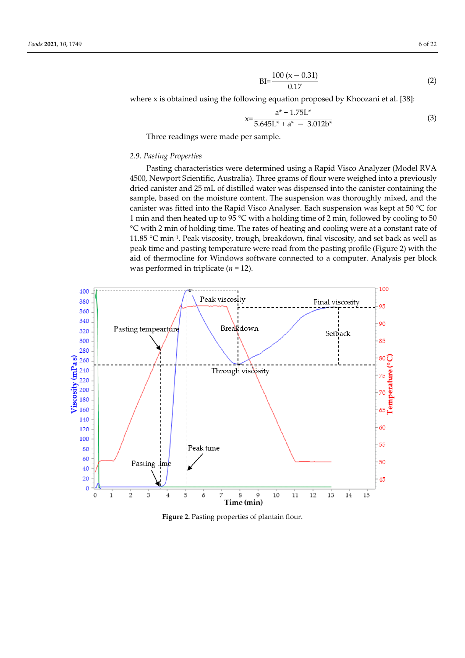$$
BI = \frac{100 (x - 0.31)}{0.17}
$$
 (2)

where x is obtained using the following equation proposed by Khoozani et al. [38]:

$$
x = \frac{a^* + 1.75L^*}{5.645L^* + a^* - 3.012b^*}
$$
 (3)

Three readings were made per sample.

## *2.9. Pasting Properties*

Pasting characteristics were determined using a Rapid Visco Analyzer (Model RVA 4500, Newport Scientific, Australia). Three grams of flour were weighed into a previously dried canister and 25 mL of distilled water was dispensed into the canister containing the sample, based on the moisture content. The suspension was thoroughly mixed, and the canister was fitted into the Rapid Visco Analyser. Each suspension was kept at 50 °C for 1 min and then heated up to 95 °C with a holding time of 2 min, followed by cooling to 50 °C with 2 min of holding time. The rates of heating and cooling were at a constant rate of 11.85 °C min−1. Peak viscosity, trough, breakdown, final viscosity, and set back as well as peak time and pasting temperature were read from the pasting profile (Figure 2) with the aid of thermocline for Windows software connected to a computer. Analysis per block was performed in triplicate (*n* = 12).



Figure 2. Pasting properties of plantain flour.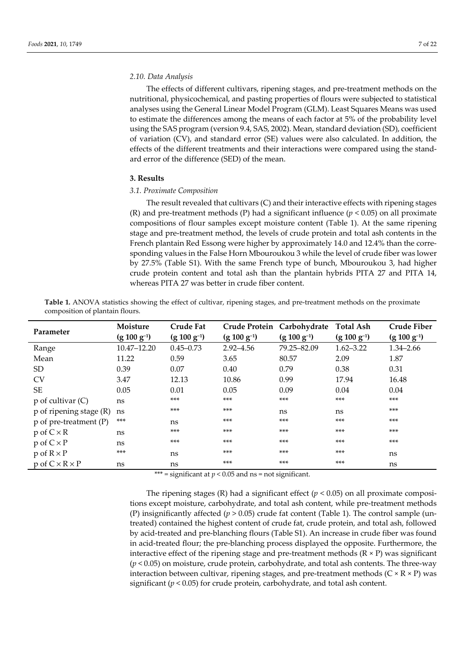#### *2.10. Data Analysis*

The effects of different cultivars, ripening stages, and pre-treatment methods on the nutritional, physicochemical, and pasting properties of flours were subjected to statistical analyses using the General Linear Model Program (GLM). Least Squares Means was used to estimate the differences among the means of each factor at 5% of the probability level using the SAS program (version 9.4, SAS, 2002). Mean, standard deviation (SD), coefficient of variation (CV), and standard error (SE) values were also calculated. In addition, the effects of the different treatments and their interactions were compared using the standard error of the difference (SED) of the mean.

# **3. Results**

# *3.1. Proximate Composition*

The result revealed that cultivars (C) and their interactive effects with ripening stages (R) and pre-treatment methods (P) had a significant influence ( $p < 0.05$ ) on all proximate compositions of flour samples except moisture content (Table 1). At the same ripening stage and pre-treatment method, the levels of crude protein and total ash contents in the French plantain Red Essong were higher by approximately 14.0 and 12.4% than the corresponding values in the False Horn Mbouroukou 3 while the level of crude fiber was lower by 27.5% (Table S1). With the same French type of bunch, Mbouroukou 3, had higher crude protein content and total ash than the plantain hybrids PITA 27 and PITA 14, whereas PITA 27 was better in crude fiber content.

**Table 1.** ANOVA statistics showing the effect of cultivar, ripening stages, and pre-treatment methods on the proximate composition of plantain flours.

| Parameter                    | Moisture         | <b>Crude Fat</b> |                  | Crude Protein Carbohydrate | <b>Total Ash</b> | <b>Crude Fiber</b> |
|------------------------------|------------------|------------------|------------------|----------------------------|------------------|--------------------|
|                              | $(g 100 g^{-1})$ | $(g 100 g^{-1})$ | $(g 100 g^{-1})$ | $(g 100 g^{-1})$           | $(g 100 g^{-1})$ | $(g 100 g^{-1})$   |
| Range                        | 10.47-12.20      | $0.45 - 0.73$    | $2.92 - 4.56$    | 79.25-82.09                | $1.62 - 3.22$    | $1.34 - 2.66$      |
| Mean                         | 11.22            | 0.59             | 3.65             | 80.57                      | 2.09             | 1.87               |
| <sub>SD</sub>                | 0.39             | 0.07             | 0.40             | 0.79                       | 0.38             | 0.31               |
| <b>CV</b>                    | 3.47             | 12.13            | 10.86            | 0.99                       | 17.94            | 16.48              |
| <b>SE</b>                    | 0.05             | 0.01             | 0.05             | 0.09                       | 0.04             | 0.04               |
| $p$ of cultivar $(C)$        | ns               | $***$            | $***$            | $***$                      | ***              | $***$              |
| $p$ of ripening stage $(R)$  | ns               | $***$            | $***$            | ns                         | ns               | $***$              |
| p of pre-treatment (P)       | ***              | ns               | $***$            | $***$                      | $***$            | $***$              |
| $p \circ f C \times R$       | ns               | $***$            | $***$            | ***                        | $***$            | $***$              |
| $p$ of $C \times P$          | ns               | $***$            | $***$            | $***$                      | $***$            | $***$              |
| $p$ of $R \times P$          | $***$            | ns               | $***$            | $***$                      | $***$            | ns                 |
| $p$ of $C \times R \times P$ | ns               | ns               | $***$            | ***                        | $***$            | ns                 |

\*\*\* = significant at  $p < 0.05$  and ns = not significant.

The ripening stages  $(R)$  had a significant effect  $(p < 0.05)$  on all proximate compositions except moisture, carbohydrate, and total ash content, while pre-treatment methods (P) insignificantly affected  $(p > 0.05)$  crude fat content (Table 1). The control sample (untreated) contained the highest content of crude fat, crude protein, and total ash, followed by acid-treated and pre-blanching flours (Table S1). An increase in crude fiber was found in acid-treated flour; the pre-blanching process displayed the opposite. Furthermore, the interactive effect of the ripening stage and pre-treatment methods  $(R \times P)$  was significant (*p* < 0.05) on moisture, crude protein, carbohydrate, and total ash contents. The three-way interaction between cultivar, ripening stages, and pre-treatment methods ( $C \times R \times P$ ) was significant (*p* < 0.05) for crude protein, carbohydrate, and total ash content.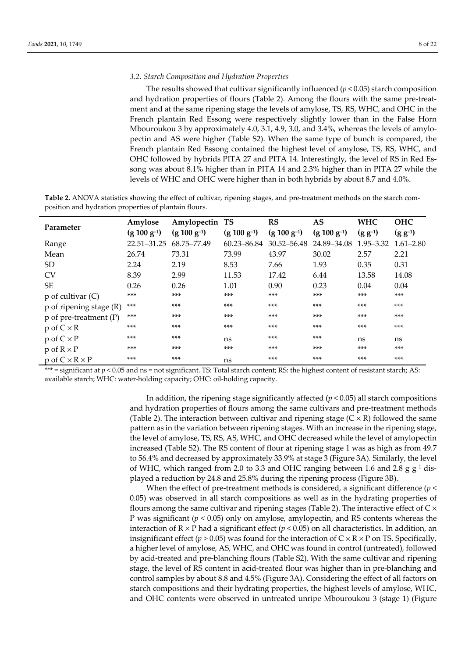#### *3.2. Starch Composition and Hydration Properties*

The results showed that cultivar significantly influenced  $(p < 0.05)$  starch composition and hydration properties of flours (Table 2). Among the flours with the same pre-treatment and at the same ripening stage the levels of amylose, TS, RS, WHC, and OHC in the French plantain Red Essong were respectively slightly lower than in the False Horn Mbouroukou 3 by approximately 4.0, 3.1, 4.9, 3.0, and 3.4%, whereas the levels of amylopectin and AS were higher (Table S2). When the same type of bunch is compared, the French plantain Red Essong contained the highest level of amylose, TS, RS, WHC, and OHC followed by hybrids PITA 27 and PITA 14. Interestingly, the level of RS in Red Essong was about 8.1% higher than in PITA 14 and 2.3% higher than in PITA 27 while the levels of WHC and OHC were higher than in both hybrids by about 8.7 and 4.0%.

**Table 2.** ANOVA statistics showing the effect of cultivar, ripening stages, and pre-treatment methods on the starch composition and hydration properties of plantain flours.

| Parameter                    | Amylose          | Amylopectin TS   |                  | RS               | <b>AS</b>        | <b>WHC</b>    | <b>OHC</b>    |
|------------------------------|------------------|------------------|------------------|------------------|------------------|---------------|---------------|
|                              | $(g 100 g^{-1})$ | $(g 100 g^{-1})$ | $(g 100 g^{-1})$ | $(g 100 g^{-1})$ | $(g 100 g^{-1})$ | $(g g^{-1})$  | $(g g^{-1})$  |
| Range                        | 22.51-31.25      | 68.75-77.49      | 60.23-86.84      | $30.52 - 56.48$  | 24.89-34.08      | $1.95 - 3.32$ | $1.61 - 2.80$ |
| Mean                         | 26.74            | 73.31            | 73.99            | 43.97            | 30.02            | 2.57          | 2.21          |
| <b>SD</b>                    | 2.24             | 2.19             | 8.53             | 7.66             | 1.93             | 0.35          | 0.31          |
| <b>CV</b>                    | 8.39             | 2.99             | 11.53            | 17.42            | 6.44             | 13.58         | 14.08         |
| <b>SE</b>                    | 0.26             | 0.26             | 1.01             | 0.90             | 0.23             | 0.04          | 0.04          |
| $p$ of cultivar $(C)$        | $***$            | $***$            | $***$            | $***$            | $***$            | ***           | $***$         |
| $p$ of ripening stage $(R)$  | ***              | $***$            | $***$            | $***$            | $***$            | $***$         | ***           |
| p of pre-treatment (P)       | ***              | $***$            | $***$            | $***$            | $***$            | ***           | $***$         |
| $p \circ f C \times R$       | $***$            | $***$            | $***$            | $***$            | $***$            | $***$         | ***           |
| $p$ of $C \times P$          | $***$            | $***$            | ns               | $***$            | $***$            | ns            | ns            |
| $p$ of $R \times P$          | $***$            | $***$            | $***$            | $***$            | $***$            | ***           | ***           |
| $p$ of $C \times R \times P$ | $***$            | ***              | ns               | $***$            | $***$            | ***           | $***$         |

\*\*\* = significant at *p* < 0.05 and ns = not significant. TS: Total starch content; RS: the highest content of resistant starch; AS: available starch; WHC: water-holding capacity; OHC: oil-holding capacity.

> In addition, the ripening stage significantly affected  $(p < 0.05)$  all starch compositions and hydration properties of flours among the same cultivars and pre-treatment methods (Table 2). The interaction between cultivar and ripening stage  $(C \times R)$  followed the same pattern as in the variation between ripening stages. With an increase in the ripening stage, the level of amylose, TS, RS, AS, WHC, and OHC decreased while the level of amylopectin increased (Table S2). The RS content of flour at ripening stage 1 was as high as from 49.7 to 56.4% and decreased by approximately 33.9% at stage 3 (Figure 3A). Similarly, the level of WHC, which ranged from 2.0 to 3.3 and OHC ranging between 1.6 and 2.8 g  $g^{-1}$  displayed a reduction by 24.8 and 25.8% during the ripening process (Figure 3B).

> When the effect of pre-treatment methods is considered, a significant difference (*p* < 0.05) was observed in all starch compositions as well as in the hydrating properties of flours among the same cultivar and ripening stages (Table 2). The interactive effect of  $C \times$ P was significant (*p* < 0.05) only on amylose, amylopectin, and RS contents whereas the interaction of  $R \times P$  had a significant effect ( $p < 0.05$ ) on all characteristics. In addition, an insignificant effect ( $p > 0.05$ ) was found for the interaction of  $C \times R \times P$  on TS. Specifically, a higher level of amylose, AS, WHC, and OHC was found in control (untreated), followed by acid-treated and pre-blanching flours (Table S2). With the same cultivar and ripening stage, the level of RS content in acid-treated flour was higher than in pre-blanching and control samples by about 8.8 and 4.5% (Figure 3A). Considering the effect of all factors on starch compositions and their hydrating properties, the highest levels of amylose, WHC, and OHC contents were observed in untreated unripe Mbouroukou 3 (stage 1) (Figure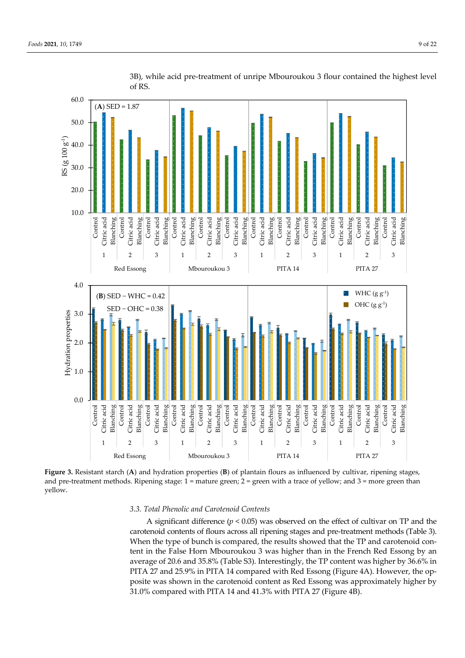

3B), while acid pre-treatment of unripe Mbouroukou 3 flour contained the highest level of RS.

**Figure 3.** Resistant starch (**A**) and hydration properties (**B**) of plantain flours as influenced by cultivar, ripening stages, and pre-treatment methods. Ripening stage:  $1 =$  mature green;  $2 =$  green with a trace of yellow; and  $3 =$  more green than yellow.

# *3.3. Total Phenolic and Carotenoid Contents*

A significant difference  $(p < 0.05)$  was observed on the effect of cultivar on TP and the carotenoid contents of flours across all ripening stages and pre-treatment methods (Table 3). When the type of bunch is compared, the results showed that the TP and carotenoid content in the False Horn Mbouroukou 3 was higher than in the French Red Essong by an average of 20.6 and 35.8% (Table S3). Interestingly, the TP content was higher by 36.6% in PITA 27 and 25.9% in PITA 14 compared with Red Essong (Figure 4A). However, the opposite was shown in the carotenoid content as Red Essong was approximately higher by 31.0% compared with PITA 14 and 41.3% with PITA 27 (Figure 4B).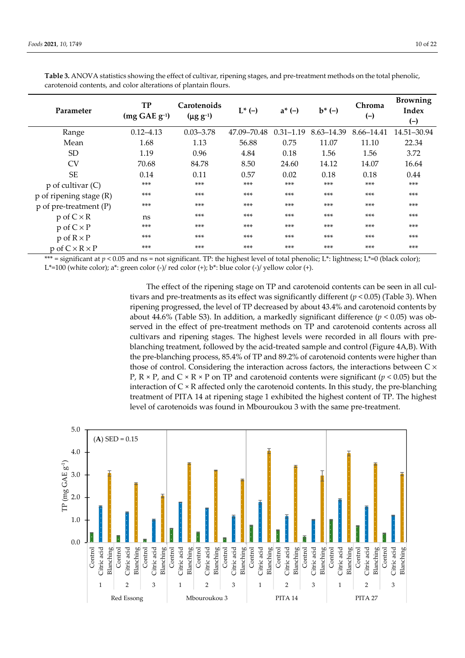| Parameter                    | <b>TP</b><br>$(mg GAE g^{-1})$ | Carotenoids<br>$(\mu g g^{-1})$ | $L^*$ (-)   | $a^* (-)$     | $b^*$ (-)  | Chroma<br>$(-)$ | <b>Browning</b><br>Index<br>$(-)$ |
|------------------------------|--------------------------------|---------------------------------|-------------|---------------|------------|-----------------|-----------------------------------|
| Range                        | $0.12 - 4.13$                  | $0.03 - 3.78$                   | 47.09-70.48 | $0.31 - 1.19$ | 8.63-14.39 | 8.66–14.41      | 14.51-30.94                       |
| Mean                         | 1.68                           | 1.13                            | 56.88       | 0.75          | 11.07      | 11.10           | 22.34                             |
| <sub>SD</sub>                | 1.19                           | 0.96                            | 4.84        | 0.18          | 1.56       | 1.56            | 3.72                              |
| <b>CV</b>                    | 70.68                          | 84.78                           | 8.50        | 24.60         | 14.12      | 14.07           | 16.64                             |
| <b>SE</b>                    | 0.14                           | 0.11                            | 0.57        | 0.02          | 0.18       | 0.18            | 0.44                              |
| $p$ of cultivar $(C)$        | $***$                          | $***$                           | $***$       | $***$         | $***$      | $***$           | $***$                             |
| $p$ of ripening stage $(R)$  | $***$                          | $***$                           | $***$       | $***$         | $***$      | $***$           | $***$                             |
| $p$ of pre-treatment (P)     | $***$                          | $***$                           | $***$       | $***$         | $***$      | $***$           | $***$                             |
| $p$ of $C \times R$          | ns                             | $***$                           | $***$       | $***$         | $***$      | $***$           | $***$                             |
| $p \circ f C \times P$       | $***$                          | $***$                           | $***$       | $***$         | $***$      | $***$           | $***$                             |
| $p$ of $R \times P$          | $***$                          | $***$                           | $***$       | $***$         | $***$      | $***$           | $***$                             |
| $p$ of $C \times R \times P$ | $***$                          | $***$                           | $***$       | $***$         | $***$      | $***$           | $***$                             |

**Table 3.** ANOVA statistics showing the effect of cultivar, ripening stages, and pre-treatment methods on the total phenolic, carotenoid contents, and color alterations of plantain flours.

\*\*\* = significant at  $p < 0.05$  and  $ns$  = not significant. TP: the highest level of total phenolic; L\*: lightness; L\*=0 (black color);  $L^*=100$  (white color); a\*: green color (-)/ red color (+); b\*: blue color (-)/ yellow color (+).

> The effect of the ripening stage on TP and carotenoid contents can be seen in all cultivars and pre-treatments as its effect was significantly different (*p* < 0.05) (Table 3). When ripening progressed, the level of TP decreased by about 43.4% and carotenoid contents by about 44.6% (Table S3). In addition, a markedly significant difference (*p* < 0.05) was observed in the effect of pre-treatment methods on TP and carotenoid contents across all cultivars and ripening stages. The highest levels were recorded in all flours with preblanching treatment, followed by the acid-treated sample and control (Figure 4A,B). With the pre-blanching process, 85.4% of TP and 89.2% of carotenoid contents were higher than those of control. Considering the interaction across factors, the interactions between  $C \times$ P,  $R \times P$ , and  $C \times R \times P$  on TP and carotenoid contents were significant ( $p \le 0.05$ ) but the interaction of  $C \times R$  affected only the carotenoid contents. In this study, the pre-blanching treatment of PITA 14 at ripening stage 1 exhibited the highest content of TP. The highest level of carotenoids was found in Mbouroukou 3 with the same pre-treatment.

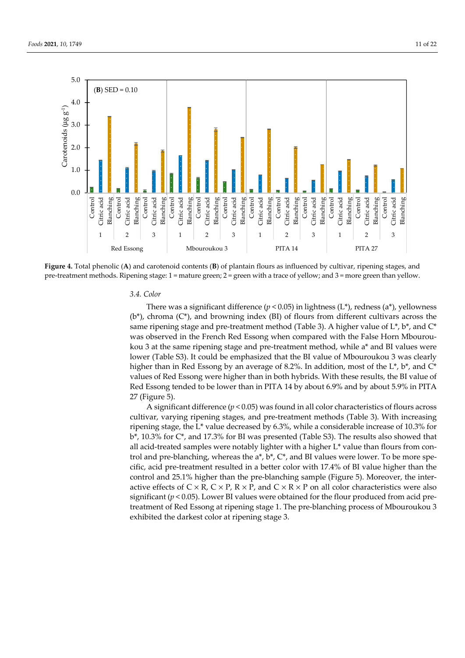

**Figure 4.** Total phenolic (**A**) and carotenoid contents (**B**) of plantain flours as influenced by cultivar, ripening stages, and pre-treatment methods. Ripening stage: 1 = mature green; 2 = green with a trace of yellow; and 3 = more green than yellow.

#### *3.4. Color*

There was a significant difference ( $p < 0.05$ ) in lightness (L\*), redness (a\*), yellowness  $(b^*)$ , chroma  $(C^*)$ , and browning index (BI) of flours from different cultivars across the same ripening stage and pre-treatment method (Table 3). A higher value of  $L^*, b^*$ , and  $C^*$ was observed in the French Red Essong when compared with the False Horn Mbouroukou 3 at the same ripening stage and pre-treatment method, while a\* and BI values were lower (Table S3). It could be emphasized that the BI value of Mbouroukou 3 was clearly higher than in Red Essong by an average of 8.2%. In addition, most of the  $L^*$ ,  $b^*$ , and  $C^*$ values of Red Essong were higher than in both hybrids. With these results, the BI value of Red Essong tended to be lower than in PITA 14 by about 6.9% and by about 5.9% in PITA 27 (Figure 5).

A significant difference  $(p < 0.05)$  was found in all color characteristics of flours across cultivar, varying ripening stages, and pre-treatment methods (Table 3). With increasing ripening stage, the L\* value decreased by 6.3%, while a considerable increase of 10.3% for b\*, 10.3% for C\*, and 17.3% for BI was presented (Table S3). The results also showed that all acid-treated samples were notably lighter with a higher L\* value than flours from control and pre-blanching, whereas the a\*, b\*, C\*, and BI values were lower. To be more specific, acid pre-treatment resulted in a better color with 17.4% of BI value higher than the control and 25.1% higher than the pre-blanching sample (Figure 5). Moreover, the interactive effects of  $C \times R$ ,  $C \times P$ ,  $R \times P$ , and  $C \times R \times P$  on all color characteristics were also significant ( $p < 0.05$ ). Lower BI values were obtained for the flour produced from acid pretreatment of Red Essong at ripening stage 1. The pre-blanching process of Mbouroukou 3 exhibited the darkest color at ripening stage 3.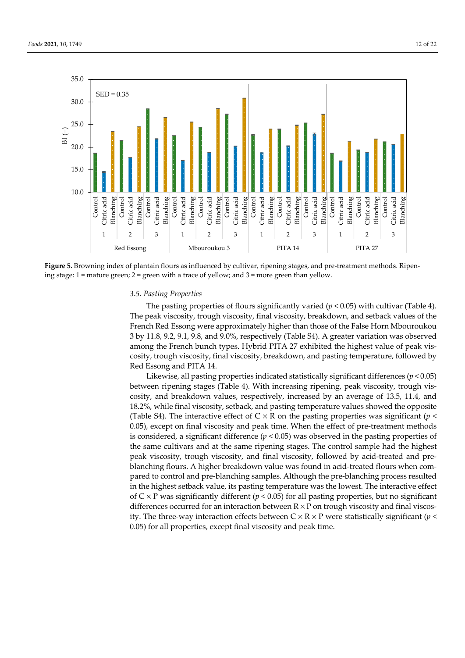

**Figure 5.** Browning index of plantain flours as influenced by cultivar, ripening stages, and pre-treatment methods. Ripening stage: 1 = mature green; 2 = green with a trace of yellow; and 3 = more green than yellow.

#### *3.5. Pasting Properties*

The pasting properties of flours significantly varied  $(p < 0.05)$  with cultivar (Table 4). The peak viscosity, trough viscosity, final viscosity, breakdown, and setback values of the French Red Essong were approximately higher than those of the False Horn Mbouroukou 3 by 11.8, 9.2, 9.1, 9.8, and 9.0%, respectively (Table S4). A greater variation was observed among the French bunch types. Hybrid PITA 27 exhibited the highest value of peak viscosity, trough viscosity, final viscosity, breakdown, and pasting temperature, followed by Red Essong and PITA 14.

Likewise, all pasting properties indicated statistically significant differences (*p* < 0.05) between ripening stages (Table 4). With increasing ripening, peak viscosity, trough viscosity, and breakdown values, respectively, increased by an average of 13.5, 11.4, and 18.2%, while final viscosity, setback, and pasting temperature values showed the opposite (Table S4). The interactive effect of  $C \times R$  on the pasting properties was significant ( $p \leq$ 0.05), except on final viscosity and peak time. When the effect of pre-treatment methods is considered, a significant difference  $(p < 0.05)$  was observed in the pasting properties of the same cultivars and at the same ripening stages. The control sample had the highest peak viscosity, trough viscosity, and final viscosity, followed by acid-treated and preblanching flours. A higher breakdown value was found in acid-treated flours when compared to control and pre-blanching samples. Although the pre-blanching process resulted in the highest setback value, its pasting temperature was the lowest. The interactive effect of C × P was significantly different (*p* < 0.05) for all pasting properties, but no significant differences occurred for an interaction between  $R \times P$  on trough viscosity and final viscosity. The three-way interaction effects between  $C \times R \times P$  were statistically significant (*p* < 0.05) for all properties, except final viscosity and peak time.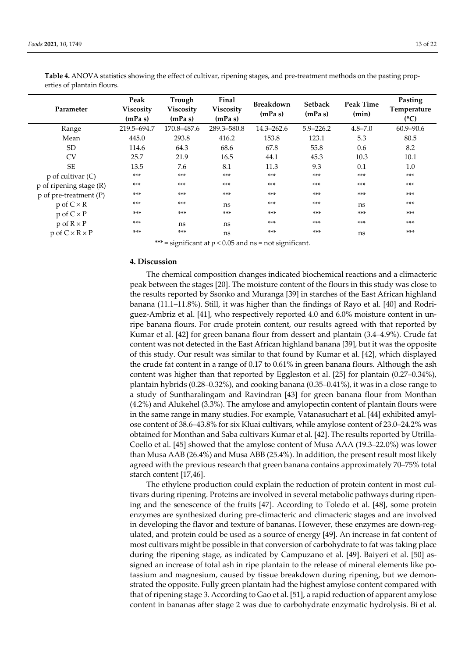| Parameter                    | Peak<br><b>Viscosity</b><br>(mPa s) | Trough<br>Viscosity<br>(mPa s) | Final<br><b>Viscosity</b><br>(mPa s) | <b>Breakdown</b><br>(mPa s) | <b>Setback</b><br>(mPa s) | Peak Time<br>(min) | Pasting<br>Temperature<br>(C) |
|------------------------------|-------------------------------------|--------------------------------|--------------------------------------|-----------------------------|---------------------------|--------------------|-------------------------------|
| Range                        | 219.5-694.7                         | 170.8-487.6                    | 289.3-580.8                          | $14.3 - 262.6$              | $5.9 - 226.2$             | $4.8 - 7.0$        | $60.9 - 90.6$                 |
| Mean                         | 445.0                               | 293.8                          | 416.2                                | 153.8                       | 123.1                     | 5.3                | 80.5                          |
| <b>SD</b>                    | 114.6                               | 64.3                           | 68.6                                 | 67.8                        | 55.8                      | 0.6                | 8.2                           |
| <b>CV</b>                    | 25.7                                | 21.9                           | 16.5                                 | 44.1                        | 45.3                      | 10.3               | 10.1                          |
| <b>SE</b>                    | 13.5                                | 7.6                            | 8.1                                  | 11.3                        | 9.3                       | 0.1                | 1.0                           |
| $p$ of cultivar $(C)$        | ***                                 | ***                            | $***$                                | $***$                       | $***$                     | ***                | ***                           |
| $p$ of ripening stage $(R)$  | $***$                               | $***$                          | $***$                                | $***$                       | $***$                     | $***$              | $***$                         |
| $p$ of pre-treatment (P)     | $***$                               | $***$                          | $***$                                | $***$                       | $***$                     | $***$              | $***$                         |
| $p \text{ of } C \times R$   | $***$                               | ***                            | ns                                   | ***                         | $***$                     | ns                 | $***$                         |
| $p$ of $C \times P$          | ***                                 | $***$                          | $***$                                | $***$                       | $***$                     | $***$              | $***$                         |
| $p$ of $R \times P$          | ***                                 | ns                             | ns                                   | $***$                       | $***$                     | $***$              | $***$                         |
| $p$ of $C \times R \times P$ | ***                                 | $***$                          | ns                                   | $***$                       | $***$                     | ns                 | ***                           |

**Table 4.** ANOVA statistics showing the effect of cultivar, ripening stages, and pre-treatment methods on the pasting properties of plantain flours.

\*\*\* = significant at  $p < 0.05$  and ns = not significant.

## **4. Discussion**

The chemical composition changes indicated biochemical reactions and a climacteric peak between the stages [20]. The moisture content of the flours in this study was close to the results reported by Ssonko and Muranga [39] in starches of the East African highland banana (11.1–11.8%). Still, it was higher than the findings of Rayo et al. [40] and Rodriguez-Ambriz et al. [41], who respectively reported 4.0 and 6.0% moisture content in unripe banana flours. For crude protein content, our results agreed with that reported by Kumar et al. [42] for green banana flour from dessert and plantain (3.4–4.9%). Crude fat content was not detected in the East African highland banana [39], but it was the opposite of this study. Our result was similar to that found by Kumar et al. [42], which displayed the crude fat content in a range of 0.17 to 0.61% in green banana flours. Although the ash content was higher than that reported by Eggleston et al. [25] for plantain (0.27–0.34%), plantain hybrids (0.28–0.32%), and cooking banana (0.35–0.41%), it was in a close range to a study of Suntharalingam and Ravindran [43] for green banana flour from Monthan (4.2%) and Alukehel (3.3%). The amylose and amylopectin content of plantain flours were in the same range in many studies. For example, Vatanasuchart et al. [44] exhibited amylose content of 38.6–43.8% for six Kluai cultivars, while amylose content of 23.0–24.2% was obtained for Monthan and Saba cultivars Kumar et al. [42]. The results reported by Utrilla-Coello et al. [45] showed that the amylose content of Musa AAA (19.3–22.0%) was lower than Musa AAB (26.4%) and Musa ABB (25.4%). In addition, the present result most likely agreed with the previous research that green banana contains approximately 70–75% total starch content [17,46].

The ethylene production could explain the reduction of protein content in most cultivars during ripening. Proteins are involved in several metabolic pathways during ripening and the senescence of the fruits [47]. According to Toledo et al. [48], some protein enzymes are synthesized during pre-climacteric and climacteric stages and are involved in developing the flavor and texture of bananas. However, these enzymes are down-regulated, and protein could be used as a source of energy [49]. An increase in fat content of most cultivars might be possible in that conversion of carbohydrate to fat was taking place during the ripening stage, as indicated by Campuzano et al. [49]. Baiyeri et al. [50] assigned an increase of total ash in ripe plantain to the release of mineral elements like potassium and magnesium, caused by tissue breakdown during ripening, but we demonstrated the opposite. Fully green plantain had the highest amylose content compared with that of ripening stage 3. According to Gao et al. [51], a rapid reduction of apparent amylose content in bananas after stage 2 was due to carbohydrate enzymatic hydrolysis. Bi et al.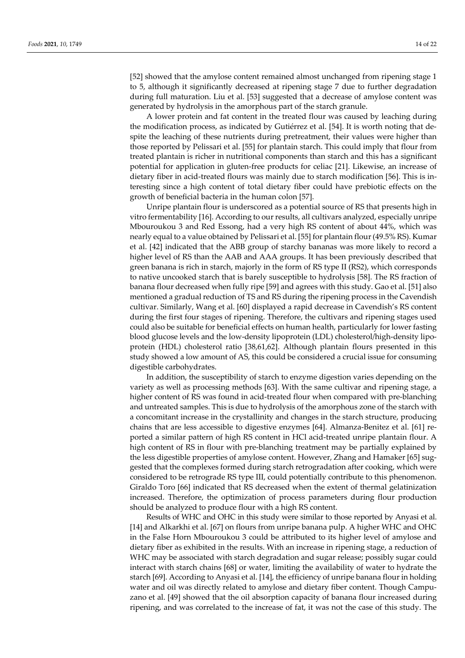[52] showed that the amylose content remained almost unchanged from ripening stage 1 to 5, although it significantly decreased at ripening stage 7 due to further degradation during full maturation. Liu et al. [53] suggested that a decrease of amylose content was generated by hydrolysis in the amorphous part of the starch granule.

A lower protein and fat content in the treated flour was caused by leaching during the modification process, as indicated by Gutiérrez et al. [54]. It is worth noting that despite the leaching of these nutrients during pretreatment, their values were higher than those reported by Pelissari et al. [55] for plantain starch. This could imply that flour from treated plantain is richer in nutritional components than starch and this has a significant potential for application in gluten-free products for celiac [21]. Likewise, an increase of dietary fiber in acid-treated flours was mainly due to starch modification [56]. This is interesting since a high content of total dietary fiber could have prebiotic effects on the growth of beneficial bacteria in the human colon [57].

Unripe plantain flour is underscored as a potential source of RS that presents high in vitro fermentability [16]. According to our results, all cultivars analyzed, especially unripe Mbouroukou 3 and Red Essong, had a very high RS content of about 44%, which was nearly equal to a value obtained by Pelissari et al. [55] for plantain flour (49.5% RS). Kumar et al. [42] indicated that the ABB group of starchy bananas was more likely to record a higher level of RS than the AAB and AAA groups. It has been previously described that green banana is rich in starch, majorly in the form of RS type II (RS2), which corresponds to native uncooked starch that is barely susceptible to hydrolysis [58]. The RS fraction of banana flour decreased when fully ripe [59] and agrees with this study. Gao et al. [51] also mentioned a gradual reduction of TS and RS during the ripening process in the Cavendish cultivar. Similarly, Wang et al. [60] displayed a rapid decrease in Cavendish's RS content during the first four stages of ripening. Therefore, the cultivars and ripening stages used could also be suitable for beneficial effects on human health, particularly for lower fasting blood glucose levels and the low-density lipoprotein (LDL) cholesterol/high-density lipoprotein (HDL) cholesterol ratio [38,61,62]. Although plantain flours presented in this study showed a low amount of AS, this could be considered a crucial issue for consuming digestible carbohydrates.

In addition, the susceptibility of starch to enzyme digestion varies depending on the variety as well as processing methods [63]. With the same cultivar and ripening stage, a higher content of RS was found in acid-treated flour when compared with pre-blanching and untreated samples. This is due to hydrolysis of the amorphous zone of the starch with a concomitant increase in the crystallinity and changes in the starch structure, producing chains that are less accessible to digestive enzymes [64]. Almanza-Benitez et al. [61] reported a similar pattern of high RS content in HCl acid-treated unripe plantain flour. A high content of RS in flour with pre-blanching treatment may be partially explained by the less digestible properties of amylose content. However, Zhang and Hamaker [65] suggested that the complexes formed during starch retrogradation after cooking, which were considered to be retrograde RS type III, could potentially contribute to this phenomenon. Giraldo Toro [66] indicated that RS decreased when the extent of thermal gelatinization increased. Therefore, the optimization of process parameters during flour production should be analyzed to produce flour with a high RS content.

Results of WHC and OHC in this study were similar to those reported by Anyasi et al. [14] and Alkarkhi et al. [67] on flours from unripe banana pulp. A higher WHC and OHC in the False Horn Mbouroukou 3 could be attributed to its higher level of amylose and dietary fiber as exhibited in the results. With an increase in ripening stage, a reduction of WHC may be associated with starch degradation and sugar release; possibly sugar could interact with starch chains [68] or water, limiting the availability of water to hydrate the starch [69]. According to Anyasi et al. [14], the efficiency of unripe banana flour in holding water and oil was directly related to amylose and dietary fiber content. Though Campuzano et al. [49] showed that the oil absorption capacity of banana flour increased during ripening, and was correlated to the increase of fat, it was not the case of this study. The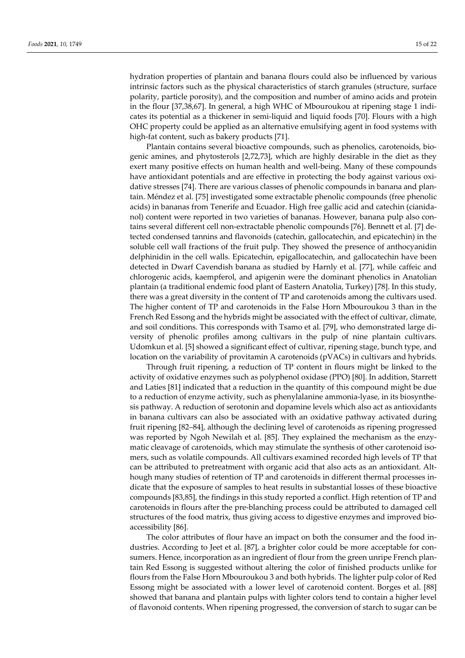hydration properties of plantain and banana flours could also be influenced by various intrinsic factors such as the physical characteristics of starch granules (structure, surface polarity, particle porosity), and the composition and number of amino acids and protein in the flour [37,38,67]. In general, a high WHC of Mbouroukou at ripening stage 1 indicates its potential as a thickener in semi-liquid and liquid foods [70]. Flours with a high OHC property could be applied as an alternative emulsifying agent in food systems with high-fat content, such as bakery products [71].

Plantain contains several bioactive compounds, such as phenolics, carotenoids, biogenic amines, and phytosterols [2,72,73], which are highly desirable in the diet as they exert many positive effects on human health and well-being. Many of these compounds have antioxidant potentials and are effective in protecting the body against various oxidative stresses [74]. There are various classes of phenolic compounds in banana and plantain. Méndez et al. [75] investigated some extractable phenolic compounds (free phenolic acids) in bananas from Tenerife and Ecuador. High free gallic acid and catechin (cianidanol) content were reported in two varieties of bananas. However, banana pulp also contains several different cell non-extractable phenolic compounds [76]. Bennett et al. [7] detected condensed tannins and flavonoids (catechin, gallocatechin, and epicatechin) in the soluble cell wall fractions of the fruit pulp. They showed the presence of anthocyanidin delphinidin in the cell walls. Epicatechin, epigallocatechin, and gallocatechin have been detected in Dwarf Cavendish banana as studied by Harnly et al. [77], while caffeic and chlorogenic acids, kaempferol, and apigenin were the dominant phenolics in Anatolian plantain (a traditional endemic food plant of Eastern Anatolia, Turkey) [78]. In this study, there was a great diversity in the content of TP and carotenoids among the cultivars used. The higher content of TP and carotenoids in the False Horn Mbouroukou 3 than in the French Red Essong and the hybrids might be associated with the effect of cultivar, climate, and soil conditions. This corresponds with Tsamo et al. [79], who demonstrated large diversity of phenolic profiles among cultivars in the pulp of nine plantain cultivars. Udomkun et al. [5] showed a significant effect of cultivar, ripening stage, bunch type, and location on the variability of provitamin A carotenoids (pVACs) in cultivars and hybrids.

Through fruit ripening, a reduction of TP content in flours might be linked to the activity of oxidative enzymes such as polyphenol oxidase (PPO) [80]. In addition, Starrett and Laties [81] indicated that a reduction in the quantity of this compound might be due to a reduction of enzyme activity, such as phenylalanine ammonia-lyase, in its biosynthesis pathway. A reduction of serotonin and dopamine levels which also act as antioxidants in banana cultivars can also be associated with an oxidative pathway activated during fruit ripening [82–84], although the declining level of carotenoids as ripening progressed was reported by Ngoh Newilah et al. [85]. They explained the mechanism as the enzymatic cleavage of carotenoids, which may stimulate the synthesis of other carotenoid isomers, such as volatile compounds. All cultivars examined recorded high levels of TP that can be attributed to pretreatment with organic acid that also acts as an antioxidant. Although many studies of retention of TP and carotenoids in different thermal processes indicate that the exposure of samples to heat results in substantial losses of these bioactive compounds [83,85], the findings in this study reported a conflict. High retention of TP and carotenoids in flours after the pre-blanching process could be attributed to damaged cell structures of the food matrix, thus giving access to digestive enzymes and improved bioaccessibility [86].

The color attributes of flour have an impact on both the consumer and the food industries. According to Jeet et al. [87], a brighter color could be more acceptable for consumers. Hence, incorporation as an ingredient of flour from the green unripe French plantain Red Essong is suggested without altering the color of finished products unlike for flours from the False Horn Mbouroukou 3 and both hybrids. The lighter pulp color of Red Essong might be associated with a lower level of carotenoid content. Borges et al. [88] showed that banana and plantain pulps with lighter colors tend to contain a higher level of flavonoid contents. When ripening progressed, the conversion of starch to sugar can be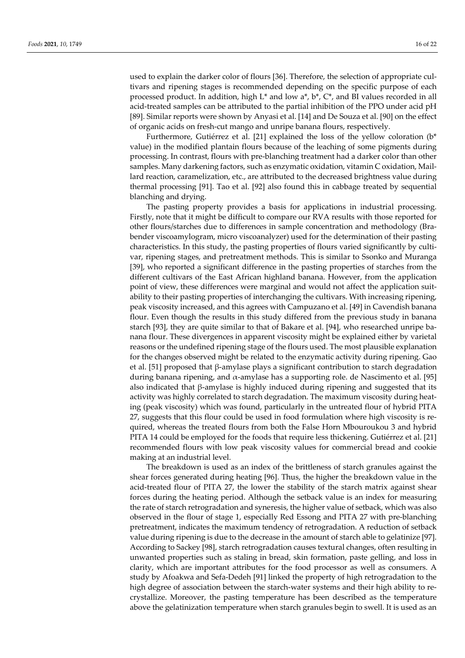used to explain the darker color of flours [36]. Therefore, the selection of appropriate cultivars and ripening stages is recommended depending on the specific purpose of each processed product. In addition, high L\* and low a\*, b\*, C\*, and BI values recorded in all acid-treated samples can be attributed to the partial inhibition of the PPO under acid pH [89]. Similar reports were shown by Anyasi et al. [14] and De Souza et al. [90] on the effect of organic acids on fresh-cut mango and unripe banana flours, respectively.

Furthermore, Gutiérrez et al. [21] explained the loss of the yellow coloration  $(b^*$ value) in the modified plantain flours because of the leaching of some pigments during processing. In contrast, flours with pre-blanching treatment had a darker color than other samples. Many darkening factors, such as enzymatic oxidation, vitamin C oxidation, Maillard reaction, caramelization, etc., are attributed to the decreased brightness value during thermal processing [91]. Tao et al. [92] also found this in cabbage treated by sequential blanching and drying.

The pasting property provides a basis for applications in industrial processing. Firstly, note that it might be difficult to compare our RVA results with those reported for other flours/starches due to differences in sample concentration and methodology (Brabender viscoamylogram, micro viscoanalyzer) used for the determination of their pasting characteristics. In this study, the pasting properties of flours varied significantly by cultivar, ripening stages, and pretreatment methods. This is similar to Ssonko and Muranga [39], who reported a significant difference in the pasting properties of starches from the different cultivars of the East African highland banana. However, from the application point of view, these differences were marginal and would not affect the application suitability to their pasting properties of interchanging the cultivars. With increasing ripening, peak viscosity increased, and this agrees with Campuzano et al. [49] in Cavendish banana flour. Even though the results in this study differed from the previous study in banana starch [93], they are quite similar to that of Bakare et al. [94], who researched unripe banana flour. These divergences in apparent viscosity might be explained either by varietal reasons or the undefined ripening stage of the flours used. The most plausible explanation for the changes observed might be related to the enzymatic activity during ripening. Gao et al. [51] proposed that β-amylase plays a significant contribution to starch degradation during banana ripening, and  $α$ -amylase has a supporting role. de Nascimento et al. [95] also indicated that  $\beta$ -amylase is highly induced during ripening and suggested that its activity was highly correlated to starch degradation. The maximum viscosity during heating (peak viscosity) which was found, particularly in the untreated flour of hybrid PITA 27, suggests that this flour could be used in food formulation where high viscosity is required, whereas the treated flours from both the False Horn Mbouroukou 3 and hybrid PITA 14 could be employed for the foods that require less thickening. Gutiérrez et al. [21] recommended flours with low peak viscosity values for commercial bread and cookie making at an industrial level.

The breakdown is used as an index of the brittleness of starch granules against the shear forces generated during heating [96]. Thus, the higher the breakdown value in the acid-treated flour of PITA 27, the lower the stability of the starch matrix against shear forces during the heating period. Although the setback value is an index for measuring the rate of starch retrogradation and syneresis, the higher value of setback, which was also observed in the flour of stage 1, especially Red Essong and PITA 27 with pre-blanching pretreatment, indicates the maximum tendency of retrogradation. A reduction of setback value during ripening is due to the decrease in the amount of starch able to gelatinize [97]. According to Sackey [98], starch retrogradation causes textural changes, often resulting in unwanted properties such as staling in bread, skin formation, paste gelling, and loss in clarity, which are important attributes for the food processor as well as consumers. A study by Afoakwa and Sefa-Dedeh [91] linked the property of high retrogradation to the high degree of association between the starch-water systems and their high ability to recrystallize. Moreover, the pasting temperature has been described as the temperature above the gelatinization temperature when starch granules begin to swell. It is used as an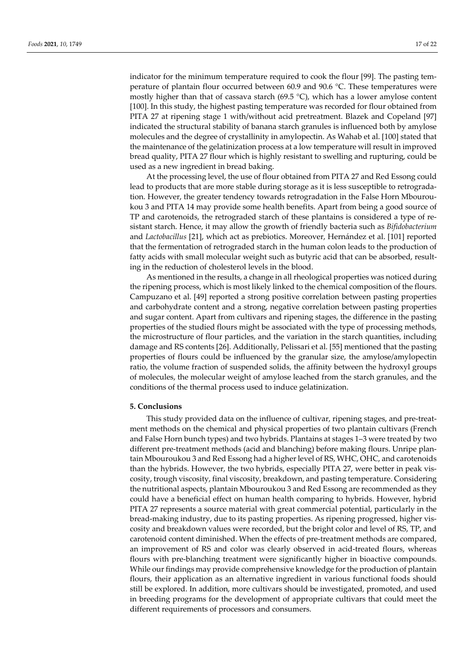indicator for the minimum temperature required to cook the flour [99]. The pasting temperature of plantain flour occurred between 60.9 and 90.6 °C. These temperatures were mostly higher than that of cassava starch (69.5 °C), which has a lower amylose content [100]. In this study, the highest pasting temperature was recorded for flour obtained from PITA 27 at ripening stage 1 with/without acid pretreatment. Blazek and Copeland [97] indicated the structural stability of banana starch granules is influenced both by amylose molecules and the degree of crystallinity in amylopectin. As Wahab et al. [100] stated that the maintenance of the gelatinization process at a low temperature will result in improved bread quality, PITA 27 flour which is highly resistant to swelling and rupturing, could be used as a new ingredient in bread baking.

At the processing level, the use of flour obtained from PITA 27 and Red Essong could lead to products that are more stable during storage as it is less susceptible to retrogradation. However, the greater tendency towards retrogradation in the False Horn Mbouroukou 3 and PITA 14 may provide some health benefits. Apart from being a good source of TP and carotenoids, the retrograded starch of these plantains is considered a type of resistant starch. Hence, it may allow the growth of friendly bacteria such as *Bifidobacterium* and *Lactobacillus* [21], which act as prebiotics. Moreover, Hernández et al. [101] reported that the fermentation of retrograded starch in the human colon leads to the production of fatty acids with small molecular weight such as butyric acid that can be absorbed, resulting in the reduction of cholesterol levels in the blood.

As mentioned in the results, a change in all rheological properties was noticed during the ripening process, which is most likely linked to the chemical composition of the flours. Campuzano et al. [49] reported a strong positive correlation between pasting properties and carbohydrate content and a strong, negative correlation between pasting properties and sugar content. Apart from cultivars and ripening stages, the difference in the pasting properties of the studied flours might be associated with the type of processing methods, the microstructure of flour particles, and the variation in the starch quantities, including damage and RS contents [26]. Additionally, Pelissari et al. [55] mentioned that the pasting properties of flours could be influenced by the granular size, the amylose/amylopectin ratio, the volume fraction of suspended solids, the affinity between the hydroxyl groups of molecules, the molecular weight of amylose leached from the starch granules, and the conditions of the thermal process used to induce gelatinization.

## **5. Conclusions**

This study provided data on the influence of cultivar, ripening stages, and pre-treatment methods on the chemical and physical properties of two plantain cultivars (French and False Horn bunch types) and two hybrids. Plantains at stages 1‒3 were treated by two different pre-treatment methods (acid and blanching) before making flours. Unripe plantain Mbouroukou 3 and Red Essong had a higher level of RS, WHC, OHC, and carotenoids than the hybrids. However, the two hybrids, especially PITA 27, were better in peak viscosity, trough viscosity, final viscosity, breakdown, and pasting temperature. Considering the nutritional aspects, plantain Mbouroukou 3 and Red Essong are recommended as they could have a beneficial effect on human health comparing to hybrids. However, hybrid PITA 27 represents a source material with great commercial potential, particularly in the bread-making industry, due to its pasting properties. As ripening progressed, higher viscosity and breakdown values were recorded, but the bright color and level of RS, TP, and carotenoid content diminished. When the effects of pre-treatment methods are compared, an improvement of RS and color was clearly observed in acid-treated flours, whereas flours with pre-blanching treatment were significantly higher in bioactive compounds. While our findings may provide comprehensive knowledge for the production of plantain flours, their application as an alternative ingredient in various functional foods should still be explored. In addition, more cultivars should be investigated, promoted, and used in breeding programs for the development of appropriate cultivars that could meet the different requirements of processors and consumers.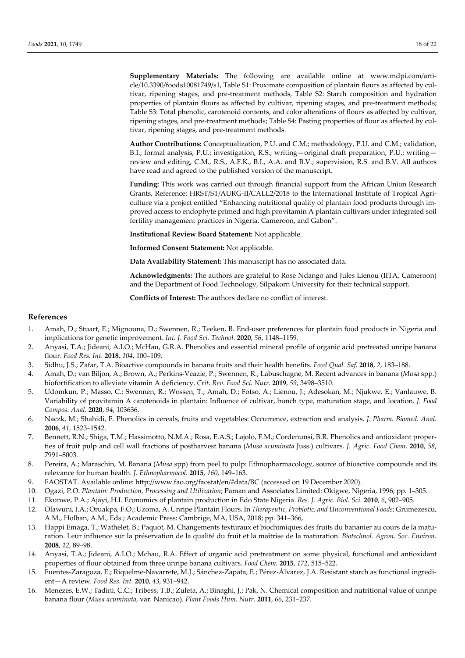**Supplementary Materials:** The following are available online at www.mdpi.com/article/10.3390/foods10081749/s1, Table S1: Proximate composition of plantain flours as affected by cultivar, ripening stages, and pre-treatment methods, Table S2: Starch composition and hydration properties of plantain flours as affected by cultivar, ripening stages, and pre-treatment methods; Table S3: Total phenolic, carotenoid contents, and color alterations of flours as affected by cultivar, ripening stages, and pre-treatment methods; Table S4: Pasting properties of flour as affected by cultivar, ripening stages, and pre-treatment methods.

**Author Contributions:** Conceptualization, P.U. and C.M.; methodology, P.U. and C.M.; validation, B.I.; formal analysis, P.U.; investigation, R.S.; writing—original draft preparation, P.U.; writing review and editing, C.M., R.S., A.F.K., B.I., A.A. and B.V.; supervision, R.S. and B.V. All authors have read and agreed to the published version of the manuscript.

**Funding:** This work was carried out through financial support from the African Union Research Grants, Reference: HRST/ST/AURG-II/CALL2/2018 to the International Institute of Tropical Agriculture via a project entitled "Enhancing nutritional quality of plantain food products through improved access to endophyte primed and high provitamin A plantain cultivars under integrated soil fertility management practices in Nigeria, Cameroon, and Gabon".

**Institutional Review Board Statement:** Not applicable.

**Informed Consent Statement:** Not applicable.

**Data Availability Statement:** This manuscript has no associated data.

**Acknowledgments:** The authors are grateful to Rose Ndango and Jules Lienou (IITA, Cameroon) and the Department of Food Technology, Silpakorn University for their technical support.

**Conflicts of Interest:** The authors declare no conflict of interest.

#### **References**

- 1. Amah, D.; Stuart, E.; Mignouna, D.; Swennen, R.; Teeken, B. End-user preferences for plantain food products in Nigeria and implications for genetic improvement. *Int. J. Food Sci. Technol.* **2020**, *56*, 1148–1159.
- 2. Anyasi, T.A.; Jideani, A.I.O.; McHau, G.R.A. Phenolics and essential mineral profile of organic acid pretreated unripe banana flour. *Food Res. Int.* **2018**, *104*, 100–109.
- 3. Sidhu, J.S.; Zafar, T.A. Bioactive compounds in banana fruits and their health benefits. *Food Qual. Saf.* **2018**, *2*, 183–188.
- 4. Amah, D.; van Biljon, A.; Brown, A.; Perkins-Veazie, P.; Swennen, R.; Labuschagne, M. Recent advances in banana (*Musa* spp.) biofortification to alleviate vitamin A deficiency. *Crit. Rev. Food Sci. Nutr.* **2019**, *59*, 3498–3510.
- 5. Udomkun, P.; Masso, C.; Swennen, R.; Wossen, T.; Amah, D.; Fotso, A.; Lienou, J.; Adesokan, M.; Njukwe, E.; Vanlauwe, B. Variability of provitamin A carotenoids in plantain: Influence of cultivar, bunch type, maturation stage, and location. *J. Food Compos. Anal.* **2020**, *94*, 103636.
- 6. Naczk, M.; Shahidi, F. Phenolics in cereals, fruits and vegetables: Occurrence, extraction and analysis. *J. Pharm. Biomed. Anal.* **2006**, *41*, 1523–1542.
- 7. Bennett, R.N.; Shiga, T.M.; Hassimotto, N.M.A.; Rosa, E.A.S.; Lajolo, F.M.; Cordenunsi, B.R. Phenolics and antioxidant properties of fruit pulp and cell wall fractions of postharvest banana (*Musa acuminata* Juss.) cultivars. *J. Agric. Food Chem.* **2010**, *58*, 7991–8003.
- 8. Pereira, A.; Maraschin, M. Banana (*Musa* spp) from peel to pulp: Ethnopharmacology, source of bioactive compounds and its relevance for human health. *J. Ethnopharmacol.* **2015**, *160*, 149–163.
- 9. FAOSTAT. Available online: http://www.fao.org/faostat/en/#data/BC (accessed on 19 December 2020).
- 10. Ogazi, P.O. *Plantain: Production, Processing and Utilization*; Paman and Associates Limited: Okigwe, Nigeria, 1996; pp. 1–305.
- 11. Ekunwe, P.A.; Ajayi, H.I. Economics of plantain production in Edo State Nigeria. *Res. J. Agric. Biol. Sci.* **2010**, *6*, 902–905.
- 12. Olawuni, I.A.; Oruakpa, F.O.; Uzoma, A. Unripe Plantain Flours. In *Therapeutic, Probiotic, and Unconventional Foods*; Grumezescu, A.M., Holban, A.M., Eds.; Academic Press: Cambrige, MA, USA, 2018; pp. 341–366,
- 13. Happi Emaga, T.; Wathelet, B.; Paquot, M. Changements texturaux et biochimiques des fruits du bananier au cours de la maturation. Leur influence sur la préservation de la qualité du fruit et la maîtrise de la maturation. *Biotechnol. Agron. Soc. Environ.* **2008**, *12*, 89–98.
- 14. Anyasi, T.A.; Jideani, A.I.O.; Mchau, R.A. Effect of organic acid pretreatment on some physical, functional and antioxidant properties of flour obtained from three unripe banana cultivars. *Food Chem.* **2015**, *172*, 515–522.
- 15. Fuentes-Zaragoza, E.; Riquelme-Navarrete, M.J.; Sánchez-Zapata, E.; Pérez-Álvarez, J.A. Resistant starch as functional ingredient—A review. *Food Res. Int.* **2010**, *43*, 931–942.
- 16. Menezes, E.W.; Tadini, C.C.; Tribess, T.B.; Zuleta, A.; Binaghi, J.; Pak, N. Chemical composition and nutritional value of unripe banana flour (*Musa acuminata*, var. Nanicao). *Plant Foods Hum. Nutr.* **2011**, *66*, 231–237.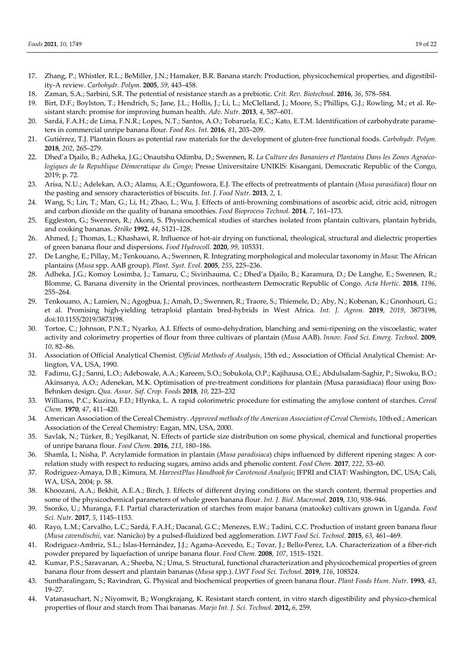- 17. Zhang, P.; Whistler, R.L.; BeMiller, J.N.; Hamaker, B.R. Banana starch: Production, physicochemical properties, and digestibility-A review. *Carbohydr. Polym.* **2005**, *59*, 443–458.
- 18. Zaman, S.A.; Sarbini, S.R. The potential of resistance starch as a prebiotic. *Crit. Rev. Biotechnol.* **2016**, *36*, 578–584.
- 19. Birt, D.F.; Boylston, T.; Hendrich, S.; Jane, J.L.; Hollis, J.; Li, L.; McClelland, J.; Moore, S.; Phillips, G.J.; Rowling, M.; et al. Resistant starch: promise for improving human health. *Adv. Nutr.* **2013**, *4*, 587–601.
- 20. Sardá, F.A.H.; de Lima, F.N.R.; Lopes, N.T.; Santos, A.O.; Tobaruela, E.C.; Kato, E.T.M. Identification of carbohydrate parameters in commercial unripe banana flour. *Food Res. Int.* **2016**, *81*, 203–209.
- 21. Gutiérrez, T.J. Plantain flours as potential raw materials for the development of gluten-free functional foods. *Carbohydr. Polym.* **2018**, *202*, 265–279.
- 22. Dhed'a Djailo, B.; Adheka, J.G.; Onautshu Odimba, D.; Swennen, R. *La Culture des Bananiers et Plantains Dans les Zones Agroécologiques de la Republique Démocratique du Congo*; Presse Universitaire UNIKIS: Kisangani, Democratic Republic of the Congo, 2019; p. 72.
- 23. Arisa, N.U.; Adelekan, A.O.; Alamu, A.E.; Ogunfowora, E.J. The effects of pretreatments of plantain (*Musa parasidiaca*) flour on the pasting and sensory characteristics of biscuits. *Int. J. Food Nutr.* **2013**, *2*, 1.
- 24. Wang, S.; Lin, T.; Man, G.; Li, H.; Zhao, L.; Wu, J. Effects of anti-browning combinations of ascorbic acid, citric acid, nitrogen and carbon dioxide on the quality of banana smoothies. *Food Bioprocess Technol.* **2014**, *7*, 161–173.
- 25. Eggleston, G.; Swennen, R.; Akoni, S. Physicochemical studies of starches isolated from plantain cultivars, plantain hybrids, and cooking bananas. *Sträke* **1992**, *44*, S121–128.
- 26. Ahmed, J.; Thomas, L.; Khashawi, R. Influence of hot-air drying on functional, rheological, structural and dielectric properties of green banana flour and dispersions. *Food Hydrocoll.* **2020**, *99*, 105331.
- 27. De Langhe, E.; Pillay, M.; Tenkouano, A.; Swennen, R. Integrating morphological and molecular taxonomy in *Musa*: The African plantains (*Musa* spp. AAB group). *Plant. Syst. Evol.* **2005**, *255*, 225–236.
- 28. Adheka, J.G.; Komoy Losimba, J.; Tamaru, C.; Sivirihauma, C.; Dhed'a Djailo, B.; Karamura, D.; De Langhe, E.; Swennen, R.; Blomme, G. Banana diversity in the Oriental provinces, northeastern Democratic Republic of Congo. *Acta Hortic.* **2018**, *1196*, 255–264.
- 29. Tenkouano, A.; Lamien, N.; Agogbua, J.; Amah, D.; Swennen, R.; Traore, S.; Thiemele, D.; Aby, N.; Kobenan, K.; Gnonhouri, G.; et al. Promising high-yielding tetraploid plantain bred-hybrids in West Africa. *Int. J. Agron.* **2019**, *2019*, 3873198, doi:10.1155/2019/3873198.
- 30. Tortoe, C.; Johnson, P.N.T.; Nyarko, A.I. Effects of osmo-dehydration, blanching and semi-ripening on the viscoelastic, water activity and colorimetry properties of flour from three cultivars of plantain (*Musa* AAB). *Innov. Food Sci. Emerg. Technol.* **2009**, *10*, 82–86.
- 31. Association of Official Analytical Chemist. *Official Methods of Analysis*, 15th ed.; Association of Official Analytical Chemist: Arlington, VA, USA, 1990.
- 32. Fadimu, G.J.; Sanni, L.O.; Adebowale, A.A.; Kareem, S.O.; Sobukola, O.P.; Kajihausa, O.E.; Abdulsalam-Saghir, P.; Siwoku, B.O.; Akinsanya, A.O.; Adenekan, M.K. Optimisation of pre-treatment conditions for plantain (Musa parasidiaca) flour using Box-Behnken design. *Qua. Assur. Saf. Crop. Foods* **2018**, *10*, 223–232
- 33. Williams, P.C.; Kuzina, F.D.; Hlynka, L. A rapid colorimetric procedure for estimating the amylose content of starches. *Cereal Chem.* **1970**, *47*, 411–420.
- 34. American Association of the Cereal Chemistry. *Approved methods of the American Association of Cereal Chemists*, 10th ed.; American Association of the Cereal Chemistry: Eagan, MN, USA, 2000.
- 35. Savlak, N.; Türker, B.; Yeşilkanat, N. Effects of particle size distribution on some physical, chemical and functional properties of unripe banana flour. *Food Chem.* **2016**, *213*, 180–186.
- 36. Shamla, I.; Nisha, P. Acrylamide formation in plantain (*Musa paradisiaca*) chips influenced by different ripening stages: A correlation study with respect to reducing sugars, amino acids and phenolic content. *Food Chem.* **2017**, *222*, 53–60.
- 37. Rodriguez-Amaya, D.B.; Kimura, M. *HarvestPlus Handbook for Carotenoid Analysis*; IFPRI and CIAT: Washington, DC, USA; Cali, WA, USA, 2004; p. 58.
- 38. Khoozani, A.A.; Bekhit, A.E.A.; Birch, J. Effects of different drying conditions on the starch content, thermal properties and some of the physicochemical parameters of whole green banana flour. *Int. J. Biol. Macromol.* **2019**, *130*, 938–946.
- 39. Ssonko, U.; Muranga, F.I. Partial characterization of starches from major banana (matooke) cultivars grown in Uganda*. Food Sci. Nutr.* **2017**, *5*, 1145–1153.
- 40. Rayo, L.M.; Carvalho, L.C.; Sardá, F.A.H.; Dacanal, G.C.; Menezes, E.W.; Tadini, C.C. Production of instant green banana flour (*Musa cavendischii*, var. Nanicão) by a pulsed-fluidized bed agglomeration. *LWT Food Sci. Technol.* **2015**, *63*, 461–469.
- 41. Rodriguez-Ambriz, S.L.; Islas-Hernández, J.J.; Agama-Acevedo, E.; Tovar, J.; Bello-Perez, LA. Characterization of a fiber-rich powder prepared by liquefaction of unripe banana flour. *Food Chem.* **2008**, *107*, 1515–1521.
- 42. Kumar, P.S.; Saravanan, A.; Sheeba, N.; Uma, S. Structural, functional characterization and physicochemical properties of green banana flour from dessert and plantain bananas (*Musa* spp.). *LWT Food Sci. Technol.* **2019**, *116*, 108524.
- 43. Suntharalingam, S.; Ravindran, G. Physical and biochemical properties of green banana flour. *Plant Foods Hum. Nutr.* **1993**, *43*, 19–27.
- 44. Vatanasuchart, N.; Niyomwit, B.; Wongkrajang, K. Resistant starch content, in vitro starch digestibility and physico-chemical properties of flour and starch from Thai bananas. *Maejo Int. J. Sci. Technol.* **2012,** *6*, 259.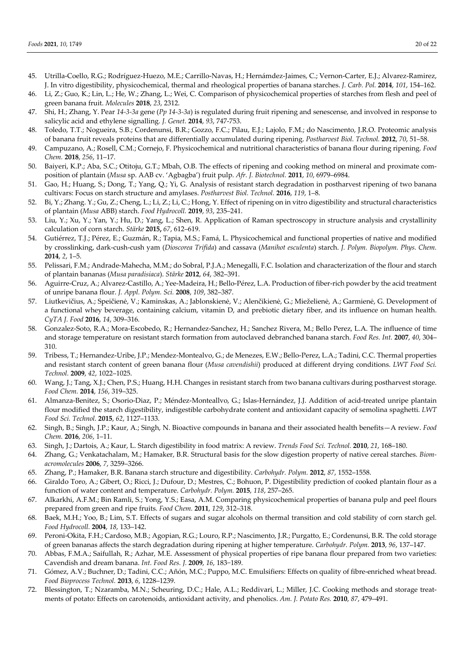- 45. Utrilla-Coello, R.G.; Rodríguez-Huezo, M.E.; Carrillo-Navas, H.; Hernámdez-Jaimes, C.; Vernon-Carter, E.J.; Alvarez-Ramirez, J. In vitro digestibility, physicochemical, thermal and rheological properties of banana starches. *J. Carb. Pol.* **2014**, *101*, 154–162.
- 46. Li, Z.; Guo, K.; Lin, L.; He, W.; Zhang, L.; Wei, C. Comparison of physicochemical properties of starches from flesh and peel of green banana fruit. *Molecules* **2018**, *23*, 2312.
- 47. Shi, H.; Zhang, Y. Pear *14-3-3a* gene (*Pp 14-3-3a*) is regulated during fruit ripening and senescense, and involved in response to salicylic acid and ethylene signalling. *J. Genet.* **2014**, *93*, 747-753.
- 48. Toledo, T.T.; Nogueira, S.B.; Cordenunsi, B.R.; Gozzo, F.C.; Pilau, E.J.; Lajolo, F.M.; do Nascimento, J.R.O. Proteomic analysis of banana fruit reveals proteins that are differentially accumulated during ripening. *Postharvest Biol. Technol.* **2012**, *70*, 51–58.
- 49. Campuzano, A.; Rosell, C.M.; Cornejo, F. Physicochemical and nutritional characteristics of banana flour during ripening. *Food Chem.* **2018**, *256*, 11–17.
- 50. Baiyeri, K.P.; Aba, S.C.; Otitoju, G.T.; Mbah, O.B. The effects of ripening and cooking method on mineral and proximate composition of plantain (*Musa* sp. AAB cv. 'Agbagba') fruit pulp. *Afr. J. Biotechnol.* **2011**, *10*, 6979–6984.
- 51. Gao, H.; Huang, S.; Dong, T.; Yang, Q.; Yi, G. Analysis of resistant starch degradation in postharvest ripening of two banana cultivars: Focus on starch structure and amylases. *Postharvest Biol. Technol.* **2016**, *119*, 1–8.
- 52. Bi, Y.; Zhang. Y.; Gu, Z.; Cheng, L.; Li, Z.; Li, C.; Hong, Y. Effect of ripening on in vitro digestibility and structural characteristics of plantain (*Musa* ABB) starch. *Food Hydrocoll.* **2019**, *93*, 235–241.
- 53. Liu, Y.; Xu, Y.; Yan, Y.; Hu, D.; Yang, L.; Shen, R. Application of Raman spectroscopy in structure analysis and crystallinity calculation of corn starch. *Stärke* **2015,** *67*, 612–619.
- 54. Gutiérrez, T.J.; Pérez, E.; Guzmán, R.; Tapia, M.S.; Famá, L. Physicochemical and functional properties of native and modified by crosslinking, dark-cush-cush yam (*Dioscorea Trifida*) and cassava (*Manihot esculenta*) starch. *J. Polym. Biopolym. Phys. Chem.* **2014**, *2*, 1–5.
- 55. Pelissari, F.M.; Andrade-Mahecha, M.M.; do Sobral, P.J.A.; Menegalli, F.C. Isolation and characterization of the flour and starch of plantain bananas (*Musa paradisiaca*). *Stärke* **2012**, *64*, 382–391.
- 56. Aguirre-Cruz, A.; Alvarez-Castillo, A.; Yee-Madeira, H.; Bello-Pérez, L.A. Production of fiber-rich powder by the acid treatment of unripe banana flour. *J. Appl. Polym. Sci.* **2008**, *109*, 382–387.
- 57. Liutkevičius, A.; Speičienė, V.; Kaminskas, A.; Jablonskienė, V.; Alenčikienė, G.; Mieželienė, A.; Garmienė, G. Development of a functional whey beverage, containing calcium, vitamin D, and prebiotic dietary fiber, and its influence on human health. *CyTA J. Food* **2016**, *14*, 309–316.
- 58. Gonzalez-Soto, R.A.; Mora-Escobedo, R.; Hernandez-Sanchez, H.; Sanchez Rivera, M.; Bello Perez, L.A. The influence of time and storage temperature on resistant starch formation from autoclaved debranched banana starch. *Food Res. Int.* **2007**, *40*, 304– 310.
- 59. Tribess, T.; Hernandez-Uribe, J.P.; Mendez-Montealvo, G.; de Menezes, E.W.; Bello-Perez, L.A.; Tadini, C.C. Thermal properties and resistant starch content of green banana flour (*Musa cavendishii*) produced at different drying conditions. *LWT Food Sci. Technol.* **2009**, *42*, 1022–1025.
- 60. Wang, J.; Tang, X.J.; Chen, P.S.; Huang, H.H. Changes in resistant starch from two banana cultivars during postharvest storage. *Food Chem.* **2014**, *156*, 319–325.
- 61. Almanza-Benitez, S.; Osorio-Diaz, P.; Méndez-Monteallvo, G.; Islas-Hernández, J.J. Addition of acid-treated unripe plantain flour modified the starch digestibility, indigestible carbohydrate content and antioxidant capacity of semolina spaghetti. *LWT Food Sci. Technol.* **2015**, *62*, 1127–1133.
- 62. Singh, B.; Singh, J.P.; Kaur, A.; Singh, N. Bioactive compounds in banana and their associated health benefits—A review. *Food Chem.* **2016**, *206*, 1–11.
- 63. Singh, J.; Dartois, A.; Kaur, L. Starch digestibility in food matrix: A review. *Trends Food Sci. Technol.* **2010**, *21*, 168–180.
- 64. Zhang, G.; Venkatachalam, M.; Hamaker, B.R. Structural basis for the slow digestion property of native cereal starches. *Biomacromolecules* **2006**, *7*, 3259–3266.
- 65. Zhang, P.; Hamaker, B.R. Banana starch structure and digestibility. *Carbohydr. Polym.* **2012**, *87*, 1552–1558.
- 66. Giraldo Toro, A.; Gibert, O.; Ricci, J.; Dufour, D.; Mestres, C.; Bohuon, P. Digestibility prediction of cooked plantain flour as a function of water content and temperature. *Carbohydr. Polym.* **2015**, *118*, 257–265.
- 67. Alkarkhi, A.F.M.; Bin Ramli, S.; Yong, Y.S.; Easa, A.M. Comparing physicochemical properties of banana pulp and peel flours prepared from green and ripe fruits. *Food Chem.* **2011**, *129*, 312–318.
- 68. Baek, M.H.; Yoo, B.; Lim, S.T. Effects of sugars and sugar alcohols on thermal transition and cold stability of corn starch gel. *Food Hydrocoll.* **2004**, *18*, 133–142.
- 69. Peroni-Okita, F.H.; Cardoso, M.B.; Agopian, R.G.; Louro, R.P.; Nascimento, J.R.; Purgatto, E.; Cordenunsi, B.R. The cold storage of green bananas affects the starch degradation during ripening at higher temperature. *Carbohydr. Polym.* **2013**, *96*, 137–147.
- 70. Abbas, F.M.A.; Saifullah, R.; Azhar, M.E. Assessment of physical properties of ripe banana flour prepared from two varieties: Cavendish and dream banana. *Int. Food Res. J.* **2009**, *16*, 183−189.
- 71. Gómez, A.V.; Buchner, D.; Tadini, C.C.; Añón, M.C.; Puppo, M.C. Emulsifiers: Effects on quality of fibre-enriched wheat bread. *Food Bioprocess Technol.* **2013**, *6*, 1228–1239.
- 72. Blessington, T.; Nzaramba, M.N.; Scheuring, D.C.; Hale, A.L.; Reddivari, L.; Miller, J.C. Cooking methods and storage treatments of potato: Effects on carotenoids, antioxidant activity, and phenolics. *Am. J. Potato Res.* **2010**, *87*, 479–491.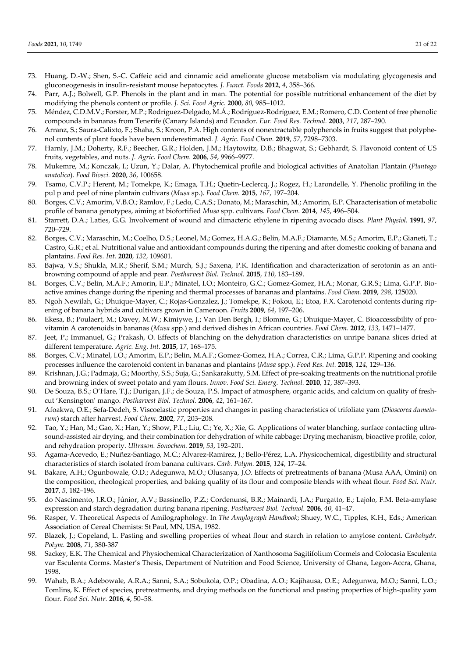- 73. Huang, D.-W.; Shen, S.-C. Caffeic acid and cinnamic acid ameliorate glucose metabolism via modulating glycogenesis and gluconeogenesis in insulin-resistant mouse hepatocytes. *J. Funct. Foods* **2012**, *4*, 358–366.
- 74. Parr, A.J.; Bolwell, G.P. Phenols in the plant and in man. The potential for possible nutritional enhancement of the diet by modifying the phenols content or profile. *J. Sci. Food Agric.* **2000**, *80*, 985–1012.
- 75. Méndez, C.D.M.V.; Forster, M.P.; Rodríguez-Delgado, M.Á.; Rodríguez-Rodríguez, E.M.; Romero, C.D. Content of free phenolic compounds in bananas from Tenerife (Canary Islands) and Ecuador. *Eur. Food Res. Technol.* **2003**, *217*, 287–290.
- 76. Arranz, S.; Saura-Calixto, F.; Shaha, S.; Kroon, P.A. High contents of nonextractable polyphenols in fruits suggest that polyphenol contents of plant foods have been underestimated*. J. Agric. Food Chem.* **2019**, *57*, 7298–7303.
- 77. Harnly, J.M.; Doherty, R.F.; Beecher, G.R.; Holden, J.M.; Haytowitz, D.B.; Bhagwat, S.; Gebhardt, S. Flavonoid content of US fruits, vegetables, and nuts. *J. Agric. Food Chem.* **2006**, *54*, 9966–9977.
- 78. Mukemre, M.; Konczak, I.; Uzun, Y.; Dalar, A. Phytochemical profile and biological activities of Anatolian Plantain (*Plantago anatolica*). *Food Biosci.* **2020**, *36*, 100658.
- 79. Tsamo, C.V.P.; Herent, M.; Tomekpe, K.; Emaga, T.H.; Quetin-Leclercq, J.; Rogez, H.; Larondelle, Y. Phenolic profiling in the pul p and peel of nine plantain cultivars (*Musa* sp.). *Food Chem.* **2015**, *167*, 197–204.
- 80. Borges, C.V.; Amorim, V.B.O.; Ramlov, F.; Ledo, C.A.S.; Donato, M.; Maraschin, M.; Amorim, E.P. Characterisation of metabolic profile of banana genotypes, aiming at biofortified *Musa* spp. cultivars. *Food Chem.* **2014**, *145*, 496–504.
- 81. Starrett, D.A.; Laties, G.G. Involvement of wound and climacteric ethylene in ripening avocado discs. *Plant Physiol.* **1991**, *97*, 720–729.
- 82. Borges, C.V.; Maraschin, M.; Coelho, D.S.; Leonel, M.; Gomez, H.A.G.; Belin, M.A.F.; Diamante, M.S.; Amorim, E.P.; Gianeti, T.; Castro, G.R.; et al. Nutritional value and antioxidant compounds during the ripening and after domestic cooking of banana and plantains. *Food Res. Int.* **2020**, *132*, 109601.
- 83. Bajwa, V.S.; Shukla, M.R.; Sherif, S.M.; Murch, S.J.; Saxena, P.K. Identification and characterization of serotonin as an antibrowning compound of apple and pear. *Postharvest Biol. Technol.* **2015**, *110*, 183–189.
- 84. Borges, C.V.; Belin, M.A.F.; Amorin, E.P.; Minatel, I.O.; Monteiro, G.C.; Gomez-Gomez, H.A.; Monar, G.R.S.; Lima, G.P.P. Bioactive amines change during the ripening and thermal processes of bananas and plantains. *Food Chem.* **2019**, *298*, 125020.
- 85. Ngoh Newilah, G.; Dhuique-Mayer, C.; Rojas-Gonzalez, J.; Tomekpe, K.; Fokou, E.; Etoa, F.X. Carotenoid contents during ripening of banana hybrids and cultivars grown in Cameroon. *Fruits* **2009**, *64*, 197–206.
- 86. Ekesa, B.; Poulaert, M.; Davey, M.W.; Kimiywe, J.; Van Den Bergh, I.; Blomme, G.; Dhuique-Mayer, C. Bioaccessibility of provitamin A carotenoids in bananas (*Musa* spp.) and derived dishes in African countries. *Food Chem.* **2012**, *133*, 1471–1477.
- 87. Jeet, P.; Immanuel, G.; Prakash, O. Effects of blanching on the dehydration characteristics on unripe banana slices dried at different temperature. *Agric. Eng. Int.* **2015**, *17*, 168–175.
- 88. Borges, C.V.; Minatel, I.O.; Amorim, E.P.; Belin, M.A.F.; Gomez-Gomez, H.A.; Correa, C.R.; Lima, G.P.P. Ripening and cooking processes influence the carotenoid content in bananas and plantains (*Musa* spp.). *Food Res. Int.* **2018**, *124*, 129–136.
- 89. Krishnan, J.G.; Padmaja, G.; Moorthy, S.S.; Suja, G.; Sankarakutty, S.M. Effect of pre-soaking treatments on the nutritional profile and browning index of sweet potato and yam flours. *Innov. Food Sci. Emerg. Technol.* **2010**, *11*, 387–393.
- 90. De Souza, B.S.; O'Hare, T.J.; Durigan, J.F.; de Souza, P.S. Impact of atmosphere, organic acids, and calcium on quality of freshcut 'Kensington' mango. *Postharvest Biol. Technol.* **2006**, *42*, 161–167.
- 91. Afoakwa, O.E.; Sefa-Dedeh, S. Viscoelastic properties and changes in pasting characteristics of trifoliate yam (*Dioscorea dumetorum*) starch after harvest. *Food Chem.* **2002**, *77*, 203−208.
- 92. Tao, Y.; Han, M.; Gao, X.; Han, Y.; Show, P.L.; Liu, C.; Ye, X.; Xie, G. Applications of water blanching, surface contacting ultrasound-assisted air drying, and their combination for dehydration of white cabbage: Drying mechanism, bioactive profile, color, and rehydration property. *Ultrason. Sonochem.* **2019**, *53*, 192–201.
- 93. Agama-Acevedo, E.; Nuñez-Santiago, M.C.; Alvarez-Ramirez, J.; Bello-Pérez, L.A. Physicochemical, digestibility and structural characteristics of starch isolated from banana cultivars. *Carb. Polym.* **2015**, *124*, 17–24.
- 94. Bakare, A.H.; Ogunbowale, O.D.; Adegunwa, M.O.; Olusanya, J.O. Effects of pretreatments of banana (Musa AAA, Omini) on the composition, rheological properties, and baking quality of its flour and composite blends with wheat flour. *Food Sci. Nutr.* **2017**, *5*, 182–196.
- 95. do Nascimento, J.R.O.; Júnior, A.V.; Bassinello, P.Z.; Cordenunsi, B.R.; Mainardi, J.A.; Purgatto, E.; Lajolo, F.M. Beta-amylase expression and starch degradation during banana ripening. *Postharvest Biol. Technol.* **2006**, *40*, 41–47.
- 96. Rasper, V. Theoretical Aspects of Amilographology. In *The Amylograph Handbook*; Shuey, W.C., Tipples, K.H., Eds.; American Association of Cereal Chemists: St Paul, MN, USA, 1982.
- 97. Blazek, J.; Copeland, L. Pasting and swelling properties of wheat flour and starch in relation to amylose content. *Carbohydr. Polym.* **2008**, *71*, 380-387
- 98. Sackey, E.K. The Chemical and Physiochemical Characterization of Xanthosoma Sagitifolium Cormels and Colocasia Esculenta var Esculenta Corms. Master's Thesis, Department of Nutrition and Food Science, University of Ghana, Legon-Accra, Ghana, 1998.
- 99. Wahab, B.A.; Adebowale, A.R.A.; Sanni, S.A.; Sobukola, O.P.; Obadina, A.O.; Kajihausa, O.E.; Adegunwa, M.O.; Sanni, L.O.; Tomlins, K. Effect of species, pretreatments, and drying methods on the functional and pasting properties of high-quality yam flour. *Food Sci. Nutr.* **2016**, *4*, 50–58.